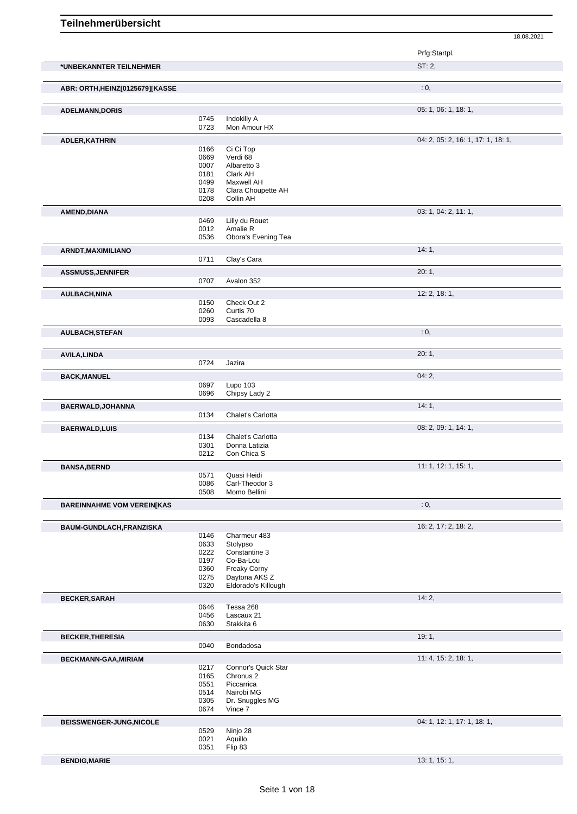| Teilnehmerübersicht |  |
|---------------------|--|
|---------------------|--|

|                                   |              |                                      | 18.08.2021                         |
|-----------------------------------|--------------|--------------------------------------|------------------------------------|
|                                   |              |                                      | Prfg:Startpl.                      |
| *UNBEKANNTER TEILNEHMER           |              |                                      | ST: 2,                             |
| ABR: ORTH, HEINZ[0125679][KASSE   |              |                                      | : 0,                               |
| <b>ADELMANN,DORIS</b>             |              |                                      | 05: 1, 06: 1, 18: 1,               |
|                                   | 0745         | Indokilly A                          |                                    |
|                                   | 0723         | Mon Amour HX                         |                                    |
| ADLER, KATHRIN                    | 0166         | Ci Ci Top                            | 04: 2, 05: 2, 16: 1, 17: 1, 18: 1, |
|                                   | 0669         | Verdi 68                             |                                    |
|                                   | 0007<br>0181 | Albaretto 3                          |                                    |
|                                   | 0499         | Clark AH<br>Maxwell AH               |                                    |
|                                   | 0178         | Clara Choupette AH                   |                                    |
|                                   | 0208         | Collin AH                            |                                    |
| AMEND, DIANA                      |              |                                      | 03: 1, 04: 2, 11: 1,               |
|                                   | 0469<br>0012 | Lilly du Rouet<br>Amalie R           |                                    |
|                                   | 0536         | Obora's Evening Tea                  |                                    |
| ARNDT, MAXIMILIANO                |              |                                      | 14:1,                              |
|                                   | 0711         | Clay's Cara                          |                                    |
| <b>ASSMUSS, JENNIFER</b>          |              |                                      | 20:1,                              |
|                                   | 0707         | Avalon 352                           |                                    |
| <b>AULBACH, NINA</b>              | 0150         | Check Out 2                          | 12: 2, 18: 1,                      |
|                                   | 0260         | Curtis 70                            |                                    |
|                                   | 0093         | Cascadella 8                         |                                    |
| AULBACH, STEFAN                   |              |                                      | : 0,                               |
| <b>AVILA, LINDA</b>               |              |                                      | 20:1,                              |
|                                   | 0724         | Jazira                               |                                    |
| <b>BACK, MANUEL</b>               |              |                                      | 04:2,                              |
|                                   | 0697         | Lupo 103                             |                                    |
|                                   | 0696         | Chipsy Lady 2                        |                                    |
| BAERWALD, JOHANNA                 | 0134         | Chalet's Carlotta                    | 14:1,                              |
|                                   |              |                                      |                                    |
| <b>BAERWALD, LUIS</b>             | 0134         | Chalet's Carlotta                    | 08: 2, 09: 1, 14: 1,               |
|                                   | 0301         | Donna Latizia                        |                                    |
|                                   | 0212         | Con Chica S                          |                                    |
| <b>BANSA, BERND</b>               |              |                                      | 11: 1, 12: 1, 15: 1,               |
|                                   | 0571<br>0086 | Quasi Heidi<br>Carl-Theodor 3        |                                    |
|                                   | 0508         | Momo Bellini                         |                                    |
| <b>BAREINNAHME VOM VEREIN[KAS</b> |              |                                      | : 0,                               |
| BAUM-GUNDLACH, FRANZISKA          |              |                                      | 16: 2, 17: 2, 18: 2,               |
|                                   | 0146         | Charmeur 483                         |                                    |
|                                   | 0633         | Stolypso                             |                                    |
|                                   | 0222<br>0197 | Constantine 3<br>Co-Ba-Lou           |                                    |
|                                   | 0360         | <b>Freaky Corny</b>                  |                                    |
|                                   | 0275         | Daytona AKS Z<br>Eldorado's Killough |                                    |
|                                   | 0320         |                                      |                                    |
| <b>BECKER, SARAH</b>              | 0646         | Tessa 268                            | 14:2,                              |
|                                   | 0456         | Lascaux 21                           |                                    |
|                                   | 0630         | Stakkita 6                           |                                    |
| <b>BECKER, THERESIA</b>           |              |                                      | 19:1,                              |
|                                   | 0040         | Bondadosa                            |                                    |
| BECKMANN-GAA, MIRIAM              |              | Connor's Quick Star                  | 11: 4, 15: 2, 18: 1,               |
|                                   | 0217<br>0165 | Chronus <sub>2</sub>                 |                                    |
|                                   | 0551         | Piccarrica                           |                                    |
|                                   | 0514         | Nairobi MG                           |                                    |
|                                   | 0305<br>0674 | Dr. Snuggles MG<br>Vince 7           |                                    |
| BEISSWENGER-JUNG, NICOLE          |              |                                      | 04: 1, 12: 1, 17: 1, 18: 1,        |
|                                   | 0529         | Ninjo 28                             |                                    |
|                                   | 0021<br>0351 | Aquillo<br>Flip 83                   |                                    |
|                                   |              |                                      |                                    |
| <b>BENDIG, MARIE</b>              |              |                                      | 13: 1, 15: 1,                      |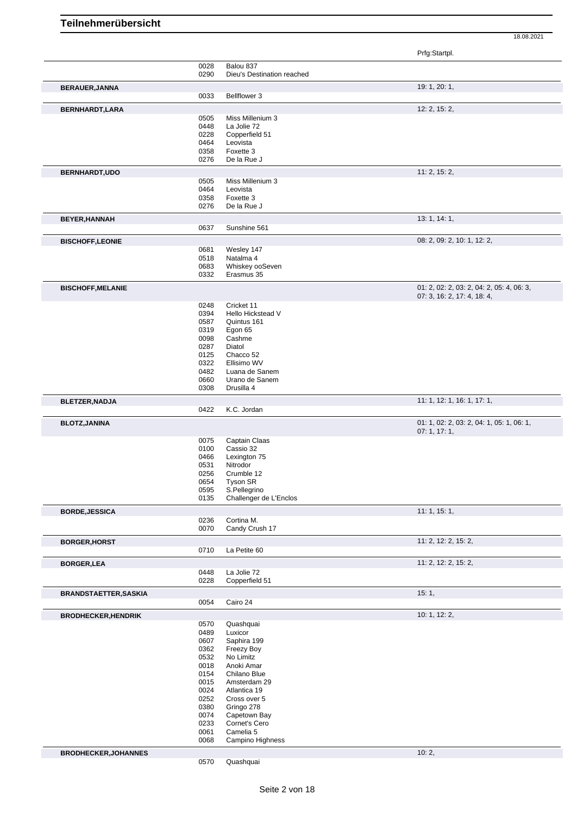Prfg:Startpl. 0028 Balou 837 0290 Dieu's Destination reached **BERAUER, JANNA** 19: 1, 20: 1, 20: 1, 20: 1, 20: 1, 20: 1, 20: 1, 20: 1, 20: 1, 20: 1, 20: 1, 20: 1, 20: 1, 20: 1, 20: 1, 20: 1, 20: 1, 20: 1, 20: 1, 20: 1, 20: 1, 20: 1, 20: 1, 20: 1, 20: 1, 20: 1, 20: 1, 20: 1, 20: 1, 20 0033 Bellflower 3 **BERNHARDT,LARA** 12: 2, 15: 2, 0505 Miss Millenium 3 0448 La Jolie 72 0228 Copperfield 51 0464 Leovista<br>0358 Foxette 3 Foxette 3 0276 De la Rue J **BERNHARDT,UDO** 11: 2, 15: 2, 15: 2, 15: 2, 15: 2, 15: 2, 15: 2, 15: 2, 15: 2, 15: 2, 15: 2, 15: 2, 15: 2, 15: 2, 15: 2, 15: 2, 15: 2, 15: 2, 15: 2, 15: 2, 15: 2, 15: 2, 15: 2, 15: 2, 15: 2, 15: 2, 15: 2, 15: 2, 15: 2, 15: 0505 Miss Millenium 3<br>0464 Leovista 0464 Leovista<br>0358 Foxette 3 0358 Foxette 3<br>0276 De la Rue De la Rue J **BEYER, HANNAH** 13: 1, 14: 1, 14: 1, 16: 1, 16: 1, 16: 1, 16: 1, 16: 1, 16: 1, 16: 1, 16: 1, 16: 1, 16: 1, 16: 1, 16: 1, 16: 1, 16: 1, 16: 1, 16: 1, 16: 1, 16: 1, 16: 1, 16: 1, 16: 1, 16: 1, 16: 1, 16: 1, 16: 1, 16: 1, 16: Sunshine 561 **BISCHOFF, LEONIE** 08: 2, 09: 2, 10: 1, 12: 2, 09: 2, 10: 1, 12: 2, 09: 2, 10: 1, 12: 2, 09: 2, 10: 1, 12: 2, 09: 2, 10: 1, 12: 2, 09: 2, 10: 1, 12: 2, 09: 2, 10: 1, 12: 2, 09: 2, 10: 1, 12: 2, 09: 2, 10: 1, 12: 2, 09: 2, 0681 Wesley 147<br>0518 Natalma 4 0518 Natalma 4<br>0683 Whiskey of 0683 Whiskey ooSeven<br>0332 Erasmus 35 Erasmus 35 **BISCHOFF,MELANIE BISCHOFF,MELANIE D1: 2, 02: 2, 03: 2, 04: 2, 05: 4, 06: 3,** 04: 2, 05: 4, 06: 3, 07: 3, 16: 2, 17: 4, 18: 4, 0248 Cricket 11 0394 Hello Hickstead V 0587 Quintus 161<br>0319 Egon 65 0319 Egon 65<br>0098 Cashme Cashme 0287 Diatol 0125 Chacco 52<br>0322 Ellisimo WY 0322 Ellisimo WV<br>0482 Luana de Sa 0482 Luana de Sanem<br>0660 Urano de Sanem 0660 Urano de Sanem<br>0308 Drusilla 4 Drusilla 4 **BLETZER,NADJA** 11: 1, 12: 1, 16: 1, 17: 1, 19: 1, 17: 1, 19: 1, 17: 1, 19: 1, 17: 1, 19: 1, 17: 1, 1, 10: 1, 17: 1, K.C. Jordan **BLOTZ,JANINA** 01: 1, 02: 2, 03: 2, 04: 1, 05: 1, 06: 1, 07: 1, 17: 1, 0075 Captain Claas<br>0100 Cassio 32 0100 Cassio 32<br>0466 Lexington 0466 Lexington 75<br>0531 Nitrodor 0531 Nitrodor<br>0256 Crumble Crumble 12 0654 Tyson SR 0595 S.Pellegrino 0135 Challenger de L'Enclos **BORDE,JESSICA** 11: 1, 15: 1, 0236 Cortina M.<br>0070 Candy Cru Candy Crush 17 **BORGER, HORST** 11: 2, 12: 2, 15: 2, 15: 2, 15: 2, 15: 2, 15: 2, 15: 2, 15: 2, 15: 2, 15: 2, 15: 2, 15: 2, 15: 2, 15: 2, 15: 2, 15: 2, 15: 2, 15: 2, 15: 2, 15: 2, 15: 2, 15: 2, 15: 2, 15: 2, 15: 2, 15: 2, 15: 2, 15: 2, 15: La Petite 60 **BORGER, LEA** 11: 2, 12: 2, 15: 2, 15: 2, 15: 2, 15: 2, 15: 2, 15: 2, 15: 2, 15: 2, 15: 2, 15: 2, 15: 2, 15: 2, 15: 2, 15: 2, 15: 2, 15: 2, 15: 2, 15: 2, 15: 2, 15: 2, 15: 2, 15: 2, 15: 2, 15: 2, 15: 2, 15: 2, 15: 2, 15: 2 0448 La Jolie 72<br>0228 Copperfield Copperfield 51 **BRANDSTAETTER,SASKIA** 15: 1, 20054 Cairo 24 Cairo 24 **BRODHECKER, HENDRIK** 10: 1, 12: 2, 0570 Quashquai 10: 1, 12: 2, 1, 12: 2, 0570 Quashquai<br>0489 Luxicor 0489 Luxicor<br>0607 Saphira 0607 Saphira 199<br>0362 Freezy Boy 0362 Freezy Boy<br>0532 No Limitz 0532 No Limitz<br>0018 Anoki Am 0018 Anoki Amar<br>0154 Chilano Blu 0154 Chilano Blue<br>0015 Amsterdam 2 Amsterdam 29 0024 Atlantica 19 0252 Cross over 5 0380 Gringo 278<br>0074 Capetown E 0074 Capetown Bay<br>0233 Cornet's Cero Cornet's Cero 0061 Camelia 5 0068 Campino Highness **BRODHECKER,JOHANNES** 10: 2,

18.08.2021

0570 Quashquai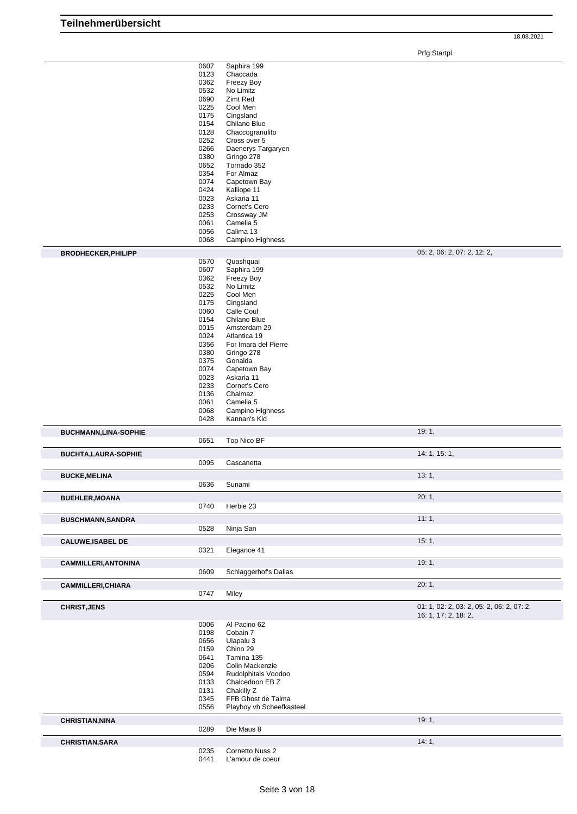Prfg:Startpl.

|                             | 0607         | Saphira 199                         |                                           |
|-----------------------------|--------------|-------------------------------------|-------------------------------------------|
|                             | 0123         | Chaccada                            |                                           |
|                             | 0362         | Freezy Boy                          |                                           |
|                             | 0532         | No Limitz                           |                                           |
|                             | 0690         | Zimt Red                            |                                           |
|                             |              |                                     |                                           |
|                             | 0225         | Cool Men                            |                                           |
|                             | 0175         | Cingsland                           |                                           |
|                             | 0154         | Chilano Blue                        |                                           |
|                             | 0128         | Chaccogranulito                     |                                           |
|                             | 0252         | Cross over 5                        |                                           |
|                             | 0266         | Daenerys Targaryen                  |                                           |
|                             |              | Gringo 278                          |                                           |
|                             | 0380         |                                     |                                           |
|                             | 0652         | Tornado 352                         |                                           |
|                             | 0354         | For Almaz                           |                                           |
|                             | 0074         | Capetown Bay                        |                                           |
|                             | 0424         | Kalliope 11                         |                                           |
|                             | 0023         | Askaria 11                          |                                           |
|                             | 0233         | Cornet's Cero                       |                                           |
|                             | 0253         | Crossway JM                         |                                           |
|                             |              |                                     |                                           |
|                             | 0061         | Camelia 5                           |                                           |
|                             | 0056         | Calima 13                           |                                           |
|                             | 0068         | Campino Highness                    |                                           |
|                             |              |                                     |                                           |
| <b>BRODHECKER, PHILIPP</b>  |              |                                     | 05: 2, 06: 2, 07: 2, 12: 2,               |
|                             | 0570         | Quashquai                           |                                           |
|                             | 0607         | Saphira 199                         |                                           |
|                             | 0362         | Freezy Boy                          |                                           |
|                             | 0532         | No Limitz                           |                                           |
|                             | 0225         | Cool Men                            |                                           |
|                             | 0175         | Cingsland                           |                                           |
|                             |              |                                     |                                           |
|                             | 0060         | Calle Coul                          |                                           |
|                             | 0154         | Chilano Blue                        |                                           |
|                             | 0015         | Amsterdam 29                        |                                           |
|                             | 0024         | Atlantica 19                        |                                           |
|                             | 0356         | For Imara del Pierre                |                                           |
|                             | 0380         | Gringo 278                          |                                           |
|                             | 0375         | Gonalda                             |                                           |
|                             | 0074         | Capetown Bay                        |                                           |
|                             |              |                                     |                                           |
|                             | 0023         | Askaria 11                          |                                           |
|                             | 0233         | Cornet's Cero                       |                                           |
|                             | 0136         | Chalmaz                             |                                           |
|                             | 0061         | Camelia 5                           |                                           |
|                             | 0068         | Campino Highness                    |                                           |
|                             | 0428         | Kannan's Kid                        |                                           |
|                             |              |                                     |                                           |
| <b>BUCHMANN,LINA-SOPHIE</b> |              |                                     | 19:1,                                     |
|                             | 0651         | Top Nico BF                         |                                           |
|                             |              |                                     |                                           |
| <b>BUCHTA, LAURA-SOPHIE</b> |              |                                     | 14: 1, 15: 1,                             |
|                             | 0095         | Cascanetta                          |                                           |
| <b>BUCKE, MELINA</b>        |              |                                     | 13:1,                                     |
|                             | 0636         | Sunami                              |                                           |
|                             |              |                                     |                                           |
| <b>BUEHLER, MOANA</b>       |              |                                     | 20:1,                                     |
|                             | 0740         | Herbie 23                           |                                           |
|                             |              |                                     |                                           |
| <b>BUSCHMANN, SANDRA</b>    |              |                                     | 11:1,                                     |
|                             | 0528         | Ninja San                           |                                           |
| <b>CALUWE, ISABEL DE</b>    |              |                                     | 15:1,                                     |
|                             | 0321         | Elegance 41                         |                                           |
|                             |              |                                     |                                           |
| <b>CAMMILLERI, ANTONINA</b> |              |                                     | 19:1,                                     |
|                             | 0609         | Schlaggerhof's Dallas               |                                           |
|                             |              |                                     |                                           |
| <b>CAMMILLERI, CHIARA</b>   |              |                                     | 20:1,                                     |
|                             | 0747         | Miley                               |                                           |
|                             |              |                                     |                                           |
| <b>CHRIST, JENS</b>         |              |                                     | 01: 1, 02: 2, 03: 2, 05: 2, 06: 2, 07: 2, |
|                             |              |                                     | 16: 1, 17: 2, 18: 2,                      |
|                             | 0006         | Al Pacino 62                        |                                           |
|                             | 0198         | Cobain 7                            |                                           |
|                             | 0656         | Ulapalu 3                           |                                           |
|                             | 0159         | Chino 29                            |                                           |
|                             | 0641         | Tamina 135                          |                                           |
|                             |              |                                     |                                           |
|                             | 0206         | Colin Mackenzie                     |                                           |
|                             | 0594         | Rudolphitals Voodoo                 |                                           |
|                             | 0133         | Chalcedoon EB Z                     |                                           |
|                             | 0131         | Chakilly Z                          |                                           |
|                             | 0345         | FFB Ghost de Talma                  |                                           |
|                             | 0556         | Playboy vh Scheefkasteel            |                                           |
|                             |              |                                     |                                           |
| <b>CHRISTIAN, NINA</b>      |              |                                     | 19:1,                                     |
|                             | 0289         | Die Maus 8                          |                                           |
|                             |              |                                     |                                           |
|                             |              |                                     |                                           |
| <b>CHRISTIAN, SARA</b>      |              |                                     | 14:1,                                     |
|                             | 0235<br>0441 | Cornetto Nuss 2<br>L'amour de coeur |                                           |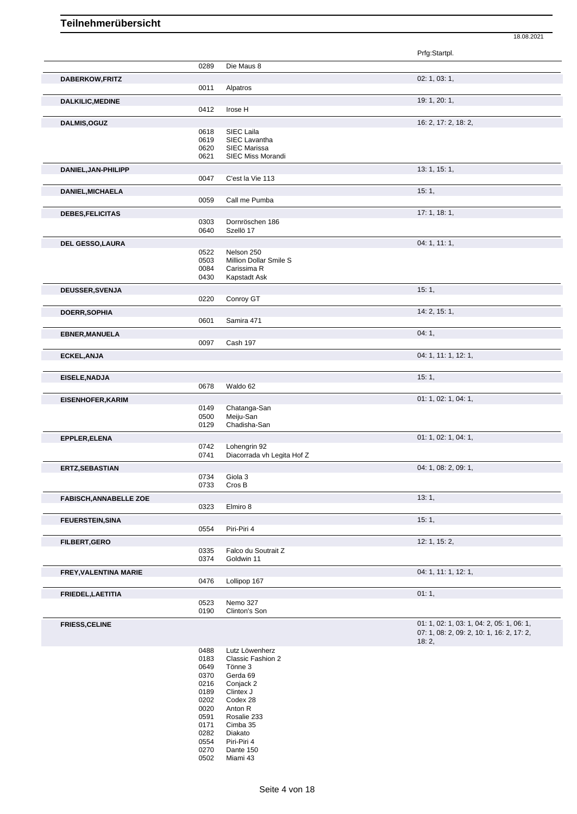| Prfg:Startpl.<br>0289<br>Die Maus 8<br>02: 1, 03: 1,<br>DABERKOW, FRITZ<br>0011<br>Alpatros<br>19: 1, 20: 1,<br><b>DALKILIC, MEDINE</b><br>0412<br>Irose H<br>16: 2, 17: 2, 18: 2,<br>DALMIS, OGUZ<br>0618<br>SIEC Laila<br>0619<br>SIEC Lavantha<br>SIEC Marissa<br>0620<br>SIEC Miss Morandi<br>0621<br>13: 1, 15: 1,<br>DANIEL, JAN-PHILIPP<br>0047<br>C'est la Vie 113<br>15:1,<br>DANIEL, MICHAELA<br>0059<br>Call me Pumba<br>17:1, 18:1,<br>DEBES, FELICITAS<br>0303<br>Dornröschen 186<br>0640<br>Szellö 17<br>04: 1, 11: 1,<br>DEL GESSO, LAURA<br>0522<br>Nelson 250<br>Million Dollar Smile S<br>0503<br>Carissima R<br>0084<br>0430<br>Kapstadt Ask<br>15:1,<br>DEUSSER, SVENJA<br>0220<br>Conroy GT<br>14: 2, 15: 1,<br>DOERR, SOPHIA<br>0601<br>Samira 471<br>04:1,<br><b>EBNER, MANUELA</b><br>0097<br>Cash 197<br>04: 1, 11: 1, 12: 1,<br>ECKEL, ANJA<br>15:1,<br>EISELE, NADJA<br>0678<br>Waldo 62<br>01: 1, 02: 1, 04: 1,<br><b>EISENHOFER, KARIM</b><br>0149<br>Chatanga-San<br>0500<br>Meiju-San<br>0129<br>Chadisha-San<br>01: 1, 02: 1, 04: 1,<br>EPPLER, ELENA<br>0742<br>Lohengrin 92<br>0741<br>Diacorrada vh Legita Hof Z<br>04: 1, 08: 2, 09: 1,<br>ERTZ, SEBASTIAN<br>0734<br>Giola 3<br>0733<br>Cros B<br>13:1,<br><b>FABISCH, ANNABELLE ZOE</b><br>Elmiro 8<br>0323<br>15:1,<br><b>FEUERSTEIN, SINA</b><br>Piri-Piri 4<br>0554<br>12: 1, 15: 2,<br>FILBERT, GERO<br>Falco du Soutrait Z<br>0335<br>0374<br>Goldwin 11<br>04: 1, 11: 1, 12: 1,<br>FREY, VALENTINA MARIE<br>0476<br>Lollipop 167<br>01:1,<br>FRIEDEL, LAETITIA |  | 18.08.2021                                                                             |
|------------------------------------------------------------------------------------------------------------------------------------------------------------------------------------------------------------------------------------------------------------------------------------------------------------------------------------------------------------------------------------------------------------------------------------------------------------------------------------------------------------------------------------------------------------------------------------------------------------------------------------------------------------------------------------------------------------------------------------------------------------------------------------------------------------------------------------------------------------------------------------------------------------------------------------------------------------------------------------------------------------------------------------------------------------------------------------------------------------------------------------------------------------------------------------------------------------------------------------------------------------------------------------------------------------------------------------------------------------------------------------------------------------------------------------------------------------------------------------------------------------------------------------------------------------|--|----------------------------------------------------------------------------------------|
|                                                                                                                                                                                                                                                                                                                                                                                                                                                                                                                                                                                                                                                                                                                                                                                                                                                                                                                                                                                                                                                                                                                                                                                                                                                                                                                                                                                                                                                                                                                                                            |  |                                                                                        |
|                                                                                                                                                                                                                                                                                                                                                                                                                                                                                                                                                                                                                                                                                                                                                                                                                                                                                                                                                                                                                                                                                                                                                                                                                                                                                                                                                                                                                                                                                                                                                            |  |                                                                                        |
|                                                                                                                                                                                                                                                                                                                                                                                                                                                                                                                                                                                                                                                                                                                                                                                                                                                                                                                                                                                                                                                                                                                                                                                                                                                                                                                                                                                                                                                                                                                                                            |  |                                                                                        |
|                                                                                                                                                                                                                                                                                                                                                                                                                                                                                                                                                                                                                                                                                                                                                                                                                                                                                                                                                                                                                                                                                                                                                                                                                                                                                                                                                                                                                                                                                                                                                            |  |                                                                                        |
|                                                                                                                                                                                                                                                                                                                                                                                                                                                                                                                                                                                                                                                                                                                                                                                                                                                                                                                                                                                                                                                                                                                                                                                                                                                                                                                                                                                                                                                                                                                                                            |  |                                                                                        |
|                                                                                                                                                                                                                                                                                                                                                                                                                                                                                                                                                                                                                                                                                                                                                                                                                                                                                                                                                                                                                                                                                                                                                                                                                                                                                                                                                                                                                                                                                                                                                            |  |                                                                                        |
|                                                                                                                                                                                                                                                                                                                                                                                                                                                                                                                                                                                                                                                                                                                                                                                                                                                                                                                                                                                                                                                                                                                                                                                                                                                                                                                                                                                                                                                                                                                                                            |  |                                                                                        |
|                                                                                                                                                                                                                                                                                                                                                                                                                                                                                                                                                                                                                                                                                                                                                                                                                                                                                                                                                                                                                                                                                                                                                                                                                                                                                                                                                                                                                                                                                                                                                            |  |                                                                                        |
|                                                                                                                                                                                                                                                                                                                                                                                                                                                                                                                                                                                                                                                                                                                                                                                                                                                                                                                                                                                                                                                                                                                                                                                                                                                                                                                                                                                                                                                                                                                                                            |  |                                                                                        |
|                                                                                                                                                                                                                                                                                                                                                                                                                                                                                                                                                                                                                                                                                                                                                                                                                                                                                                                                                                                                                                                                                                                                                                                                                                                                                                                                                                                                                                                                                                                                                            |  |                                                                                        |
|                                                                                                                                                                                                                                                                                                                                                                                                                                                                                                                                                                                                                                                                                                                                                                                                                                                                                                                                                                                                                                                                                                                                                                                                                                                                                                                                                                                                                                                                                                                                                            |  |                                                                                        |
|                                                                                                                                                                                                                                                                                                                                                                                                                                                                                                                                                                                                                                                                                                                                                                                                                                                                                                                                                                                                                                                                                                                                                                                                                                                                                                                                                                                                                                                                                                                                                            |  |                                                                                        |
|                                                                                                                                                                                                                                                                                                                                                                                                                                                                                                                                                                                                                                                                                                                                                                                                                                                                                                                                                                                                                                                                                                                                                                                                                                                                                                                                                                                                                                                                                                                                                            |  |                                                                                        |
|                                                                                                                                                                                                                                                                                                                                                                                                                                                                                                                                                                                                                                                                                                                                                                                                                                                                                                                                                                                                                                                                                                                                                                                                                                                                                                                                                                                                                                                                                                                                                            |  |                                                                                        |
|                                                                                                                                                                                                                                                                                                                                                                                                                                                                                                                                                                                                                                                                                                                                                                                                                                                                                                                                                                                                                                                                                                                                                                                                                                                                                                                                                                                                                                                                                                                                                            |  |                                                                                        |
|                                                                                                                                                                                                                                                                                                                                                                                                                                                                                                                                                                                                                                                                                                                                                                                                                                                                                                                                                                                                                                                                                                                                                                                                                                                                                                                                                                                                                                                                                                                                                            |  |                                                                                        |
|                                                                                                                                                                                                                                                                                                                                                                                                                                                                                                                                                                                                                                                                                                                                                                                                                                                                                                                                                                                                                                                                                                                                                                                                                                                                                                                                                                                                                                                                                                                                                            |  |                                                                                        |
|                                                                                                                                                                                                                                                                                                                                                                                                                                                                                                                                                                                                                                                                                                                                                                                                                                                                                                                                                                                                                                                                                                                                                                                                                                                                                                                                                                                                                                                                                                                                                            |  |                                                                                        |
|                                                                                                                                                                                                                                                                                                                                                                                                                                                                                                                                                                                                                                                                                                                                                                                                                                                                                                                                                                                                                                                                                                                                                                                                                                                                                                                                                                                                                                                                                                                                                            |  |                                                                                        |
|                                                                                                                                                                                                                                                                                                                                                                                                                                                                                                                                                                                                                                                                                                                                                                                                                                                                                                                                                                                                                                                                                                                                                                                                                                                                                                                                                                                                                                                                                                                                                            |  |                                                                                        |
|                                                                                                                                                                                                                                                                                                                                                                                                                                                                                                                                                                                                                                                                                                                                                                                                                                                                                                                                                                                                                                                                                                                                                                                                                                                                                                                                                                                                                                                                                                                                                            |  |                                                                                        |
|                                                                                                                                                                                                                                                                                                                                                                                                                                                                                                                                                                                                                                                                                                                                                                                                                                                                                                                                                                                                                                                                                                                                                                                                                                                                                                                                                                                                                                                                                                                                                            |  |                                                                                        |
|                                                                                                                                                                                                                                                                                                                                                                                                                                                                                                                                                                                                                                                                                                                                                                                                                                                                                                                                                                                                                                                                                                                                                                                                                                                                                                                                                                                                                                                                                                                                                            |  |                                                                                        |
|                                                                                                                                                                                                                                                                                                                                                                                                                                                                                                                                                                                                                                                                                                                                                                                                                                                                                                                                                                                                                                                                                                                                                                                                                                                                                                                                                                                                                                                                                                                                                            |  |                                                                                        |
|                                                                                                                                                                                                                                                                                                                                                                                                                                                                                                                                                                                                                                                                                                                                                                                                                                                                                                                                                                                                                                                                                                                                                                                                                                                                                                                                                                                                                                                                                                                                                            |  |                                                                                        |
|                                                                                                                                                                                                                                                                                                                                                                                                                                                                                                                                                                                                                                                                                                                                                                                                                                                                                                                                                                                                                                                                                                                                                                                                                                                                                                                                                                                                                                                                                                                                                            |  |                                                                                        |
|                                                                                                                                                                                                                                                                                                                                                                                                                                                                                                                                                                                                                                                                                                                                                                                                                                                                                                                                                                                                                                                                                                                                                                                                                                                                                                                                                                                                                                                                                                                                                            |  |                                                                                        |
|                                                                                                                                                                                                                                                                                                                                                                                                                                                                                                                                                                                                                                                                                                                                                                                                                                                                                                                                                                                                                                                                                                                                                                                                                                                                                                                                                                                                                                                                                                                                                            |  |                                                                                        |
|                                                                                                                                                                                                                                                                                                                                                                                                                                                                                                                                                                                                                                                                                                                                                                                                                                                                                                                                                                                                                                                                                                                                                                                                                                                                                                                                                                                                                                                                                                                                                            |  |                                                                                        |
|                                                                                                                                                                                                                                                                                                                                                                                                                                                                                                                                                                                                                                                                                                                                                                                                                                                                                                                                                                                                                                                                                                                                                                                                                                                                                                                                                                                                                                                                                                                                                            |  |                                                                                        |
|                                                                                                                                                                                                                                                                                                                                                                                                                                                                                                                                                                                                                                                                                                                                                                                                                                                                                                                                                                                                                                                                                                                                                                                                                                                                                                                                                                                                                                                                                                                                                            |  |                                                                                        |
|                                                                                                                                                                                                                                                                                                                                                                                                                                                                                                                                                                                                                                                                                                                                                                                                                                                                                                                                                                                                                                                                                                                                                                                                                                                                                                                                                                                                                                                                                                                                                            |  |                                                                                        |
|                                                                                                                                                                                                                                                                                                                                                                                                                                                                                                                                                                                                                                                                                                                                                                                                                                                                                                                                                                                                                                                                                                                                                                                                                                                                                                                                                                                                                                                                                                                                                            |  |                                                                                        |
|                                                                                                                                                                                                                                                                                                                                                                                                                                                                                                                                                                                                                                                                                                                                                                                                                                                                                                                                                                                                                                                                                                                                                                                                                                                                                                                                                                                                                                                                                                                                                            |  |                                                                                        |
|                                                                                                                                                                                                                                                                                                                                                                                                                                                                                                                                                                                                                                                                                                                                                                                                                                                                                                                                                                                                                                                                                                                                                                                                                                                                                                                                                                                                                                                                                                                                                            |  |                                                                                        |
|                                                                                                                                                                                                                                                                                                                                                                                                                                                                                                                                                                                                                                                                                                                                                                                                                                                                                                                                                                                                                                                                                                                                                                                                                                                                                                                                                                                                                                                                                                                                                            |  |                                                                                        |
|                                                                                                                                                                                                                                                                                                                                                                                                                                                                                                                                                                                                                                                                                                                                                                                                                                                                                                                                                                                                                                                                                                                                                                                                                                                                                                                                                                                                                                                                                                                                                            |  |                                                                                        |
|                                                                                                                                                                                                                                                                                                                                                                                                                                                                                                                                                                                                                                                                                                                                                                                                                                                                                                                                                                                                                                                                                                                                                                                                                                                                                                                                                                                                                                                                                                                                                            |  |                                                                                        |
|                                                                                                                                                                                                                                                                                                                                                                                                                                                                                                                                                                                                                                                                                                                                                                                                                                                                                                                                                                                                                                                                                                                                                                                                                                                                                                                                                                                                                                                                                                                                                            |  |                                                                                        |
|                                                                                                                                                                                                                                                                                                                                                                                                                                                                                                                                                                                                                                                                                                                                                                                                                                                                                                                                                                                                                                                                                                                                                                                                                                                                                                                                                                                                                                                                                                                                                            |  |                                                                                        |
|                                                                                                                                                                                                                                                                                                                                                                                                                                                                                                                                                                                                                                                                                                                                                                                                                                                                                                                                                                                                                                                                                                                                                                                                                                                                                                                                                                                                                                                                                                                                                            |  |                                                                                        |
|                                                                                                                                                                                                                                                                                                                                                                                                                                                                                                                                                                                                                                                                                                                                                                                                                                                                                                                                                                                                                                                                                                                                                                                                                                                                                                                                                                                                                                                                                                                                                            |  |                                                                                        |
|                                                                                                                                                                                                                                                                                                                                                                                                                                                                                                                                                                                                                                                                                                                                                                                                                                                                                                                                                                                                                                                                                                                                                                                                                                                                                                                                                                                                                                                                                                                                                            |  |                                                                                        |
|                                                                                                                                                                                                                                                                                                                                                                                                                                                                                                                                                                                                                                                                                                                                                                                                                                                                                                                                                                                                                                                                                                                                                                                                                                                                                                                                                                                                                                                                                                                                                            |  |                                                                                        |
|                                                                                                                                                                                                                                                                                                                                                                                                                                                                                                                                                                                                                                                                                                                                                                                                                                                                                                                                                                                                                                                                                                                                                                                                                                                                                                                                                                                                                                                                                                                                                            |  |                                                                                        |
|                                                                                                                                                                                                                                                                                                                                                                                                                                                                                                                                                                                                                                                                                                                                                                                                                                                                                                                                                                                                                                                                                                                                                                                                                                                                                                                                                                                                                                                                                                                                                            |  |                                                                                        |
|                                                                                                                                                                                                                                                                                                                                                                                                                                                                                                                                                                                                                                                                                                                                                                                                                                                                                                                                                                                                                                                                                                                                                                                                                                                                                                                                                                                                                                                                                                                                                            |  |                                                                                        |
|                                                                                                                                                                                                                                                                                                                                                                                                                                                                                                                                                                                                                                                                                                                                                                                                                                                                                                                                                                                                                                                                                                                                                                                                                                                                                                                                                                                                                                                                                                                                                            |  |                                                                                        |
|                                                                                                                                                                                                                                                                                                                                                                                                                                                                                                                                                                                                                                                                                                                                                                                                                                                                                                                                                                                                                                                                                                                                                                                                                                                                                                                                                                                                                                                                                                                                                            |  |                                                                                        |
|                                                                                                                                                                                                                                                                                                                                                                                                                                                                                                                                                                                                                                                                                                                                                                                                                                                                                                                                                                                                                                                                                                                                                                                                                                                                                                                                                                                                                                                                                                                                                            |  |                                                                                        |
|                                                                                                                                                                                                                                                                                                                                                                                                                                                                                                                                                                                                                                                                                                                                                                                                                                                                                                                                                                                                                                                                                                                                                                                                                                                                                                                                                                                                                                                                                                                                                            |  |                                                                                        |
|                                                                                                                                                                                                                                                                                                                                                                                                                                                                                                                                                                                                                                                                                                                                                                                                                                                                                                                                                                                                                                                                                                                                                                                                                                                                                                                                                                                                                                                                                                                                                            |  |                                                                                        |
|                                                                                                                                                                                                                                                                                                                                                                                                                                                                                                                                                                                                                                                                                                                                                                                                                                                                                                                                                                                                                                                                                                                                                                                                                                                                                                                                                                                                                                                                                                                                                            |  |                                                                                        |
|                                                                                                                                                                                                                                                                                                                                                                                                                                                                                                                                                                                                                                                                                                                                                                                                                                                                                                                                                                                                                                                                                                                                                                                                                                                                                                                                                                                                                                                                                                                                                            |  |                                                                                        |
| Nemo 327<br>0523                                                                                                                                                                                                                                                                                                                                                                                                                                                                                                                                                                                                                                                                                                                                                                                                                                                                                                                                                                                                                                                                                                                                                                                                                                                                                                                                                                                                                                                                                                                                           |  |                                                                                        |
| 0190<br>Clinton's Son                                                                                                                                                                                                                                                                                                                                                                                                                                                                                                                                                                                                                                                                                                                                                                                                                                                                                                                                                                                                                                                                                                                                                                                                                                                                                                                                                                                                                                                                                                                                      |  |                                                                                        |
|                                                                                                                                                                                                                                                                                                                                                                                                                                                                                                                                                                                                                                                                                                                                                                                                                                                                                                                                                                                                                                                                                                                                                                                                                                                                                                                                                                                                                                                                                                                                                            |  |                                                                                        |
| <b>FRIESS, CELINE</b>                                                                                                                                                                                                                                                                                                                                                                                                                                                                                                                                                                                                                                                                                                                                                                                                                                                                                                                                                                                                                                                                                                                                                                                                                                                                                                                                                                                                                                                                                                                                      |  | 01: 1, 02: 1, 03: 1, 04: 2, 05: 1, 06: 1,<br>07: 1, 08: 2, 09: 2, 10: 1, 16: 2, 17: 2, |
| 18:2,                                                                                                                                                                                                                                                                                                                                                                                                                                                                                                                                                                                                                                                                                                                                                                                                                                                                                                                                                                                                                                                                                                                                                                                                                                                                                                                                                                                                                                                                                                                                                      |  |                                                                                        |

0488 Lutz Löwenherz<br>0183 Classic Fashion<br>0649 Tönne 3<br>0370 Gerda 69 Classic Fashion 2 Tönne 3 Gerda 69 Conjack 2 Clintex J 0202 Codex 28<br>0020 Anton R Anton R Rosalie 233 Cimba 35 Diakato Piri-Piri 4 Dante 150 Miami 43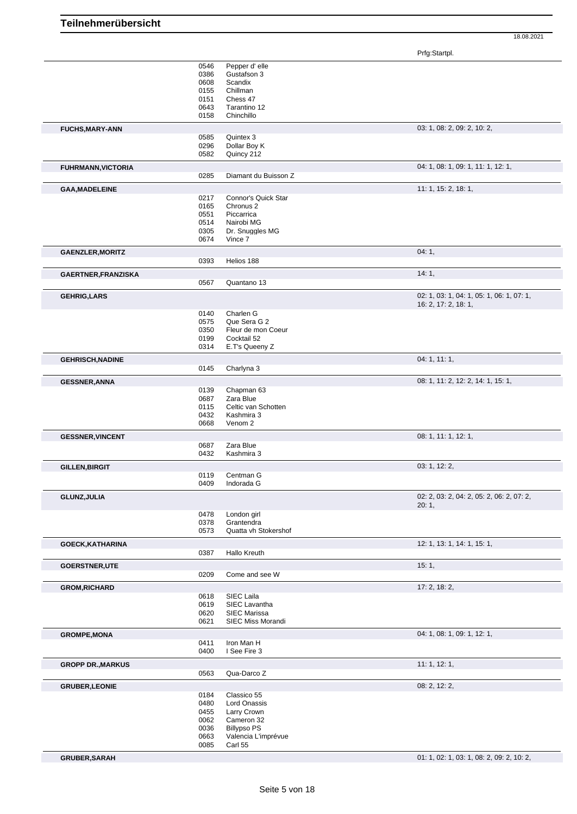|                           | 0546 | Pepper d'elle        |                                           |
|---------------------------|------|----------------------|-------------------------------------------|
|                           | 0386 | Gustafson 3          |                                           |
|                           | 0608 | Scandix              |                                           |
|                           | 0155 | Chillman             |                                           |
|                           | 0151 | Chess 47             |                                           |
|                           | 0643 | Tarantino 12         |                                           |
|                           | 0158 | Chinchillo           |                                           |
| <b>FUCHS, MARY-ANN</b>    |      |                      | 03: 1, 08: 2, 09: 2, 10: 2,               |
|                           | 0585 | Quintex 3            |                                           |
|                           | 0296 | Dollar Boy K         |                                           |
|                           | 0582 | Quincy 212           |                                           |
|                           |      |                      |                                           |
| <b>FUHRMANN, VICTORIA</b> |      |                      | 04: 1, 08: 1, 09: 1, 11: 1, 12: 1,        |
|                           | 0285 | Diamant du Buisson Z |                                           |
| <b>GAA, MADELEINE</b>     |      |                      | 11: 1, 15: 2, 18: 1,                      |
|                           | 0217 | Connor's Quick Star  |                                           |
|                           | 0165 | Chronus <sub>2</sub> |                                           |
|                           | 0551 | Piccarrica           |                                           |
|                           | 0514 | Nairobi MG           |                                           |
|                           | 0305 | Dr. Snuggles MG      |                                           |
|                           | 0674 | Vince 7              |                                           |
|                           |      |                      | 04:1,                                     |
| <b>GAENZLER, MORITZ</b>   | 0393 | Helios 188           |                                           |
|                           |      |                      |                                           |
| GAERTNER, FRANZISKA       |      |                      | 14:1,                                     |
|                           | 0567 | Quantano 13          |                                           |
| <b>GEHRIG, LARS</b>       |      |                      | 02: 1, 03: 1, 04: 1, 05: 1, 06: 1, 07: 1, |
|                           |      |                      | 16: 2, 17: 2, 18: 1,                      |
|                           | 0140 | Charlen G            |                                           |
|                           | 0575 | Que Sera G 2         |                                           |
|                           | 0350 | Fleur de mon Coeur   |                                           |
|                           | 0199 | Cocktail 52          |                                           |
|                           | 0314 | E.T's Queeny Z       |                                           |
|                           |      |                      |                                           |
| <b>GEHRISCH, NADINE</b>   |      |                      | 04: 1, 11: 1,                             |
|                           | 0145 | Charlyna 3           |                                           |
| <b>GESSNER, ANNA</b>      |      |                      | 08: 1, 11: 2, 12: 2, 14: 1, 15: 1,        |
|                           | 0139 | Chapman 63           |                                           |
|                           | 0687 | Zara Blue            |                                           |
|                           | 0115 | Celtic van Schotten  |                                           |
|                           | 0432 | Kashmira 3           |                                           |
|                           | 0668 | Venom <sub>2</sub>   |                                           |
|                           |      |                      |                                           |
| <b>GESSNER, VINCENT</b>   |      |                      | 08: 1, 11: 1, 12: 1,                      |
|                           | 0687 | Zara Blue            |                                           |
|                           | 0432 | Kashmira 3           |                                           |
| <b>GILLEN, BIRGIT</b>     |      |                      | 03: 1, 12: 2,                             |
|                           | 0119 | Centman G            |                                           |
|                           | 0409 | Indorada G           |                                           |
| GLUNZ, JULIA              |      |                      | 02: 2, 03: 2, 04: 2, 05: 2, 06: 2, 07: 2, |
|                           |      |                      | 20:1,                                     |
|                           | 0478 | London girl          |                                           |
|                           | 0378 | Grantendra           |                                           |
|                           | 0573 | Quatta vh Stokershof |                                           |
| <b>GOECK, KATHARINA</b>   |      |                      | 12: 1, 13: 1, 14: 1, 15: 1,               |
|                           | 0387 | Hallo Kreuth         |                                           |
|                           |      |                      |                                           |
| <b>GOERSTNER,UTE</b>      |      |                      | 15:1,                                     |
|                           | 0209 | Come and see W       |                                           |
| <b>GROM, RICHARD</b>      |      |                      | 17: 2, 18: 2,                             |
|                           | 0618 | SIEC Laila           |                                           |
|                           | 0619 | SIEC Lavantha        |                                           |
|                           | 0620 | <b>SIEC Marissa</b>  |                                           |
|                           | 0621 | SIEC Miss Morandi    |                                           |
| <b>GROMPE, MONA</b>       |      |                      | 04: 1, 08: 1, 09: 1, 12: 1,               |
|                           | 0411 | Iron Man H           |                                           |
|                           | 0400 | I See Fire 3         |                                           |
|                           |      |                      |                                           |
| <b>GROPP DR., MARKUS</b>  |      |                      | 11:1, 12:1,                               |
|                           | 0563 | Qua-Darco Z          |                                           |
| <b>GRUBER, LEONIE</b>     |      |                      | 08: 2, 12: 2,                             |
|                           | 0184 | Classico 55          |                                           |
|                           | 0480 | Lord Onassis         |                                           |
|                           | 0455 | Larry Crown          |                                           |
|                           | 0062 | Cameron 32           |                                           |
|                           | 0036 | <b>Billypso PS</b>   |                                           |
|                           | 0663 | Valencia L'imprévue  |                                           |
|                           | 0085 | Carl 55              |                                           |
|                           |      |                      |                                           |
| GRUBER, SARAH             |      |                      | 01: 1, 02: 1, 03: 1, 08: 2, 09: 2, 10: 2, |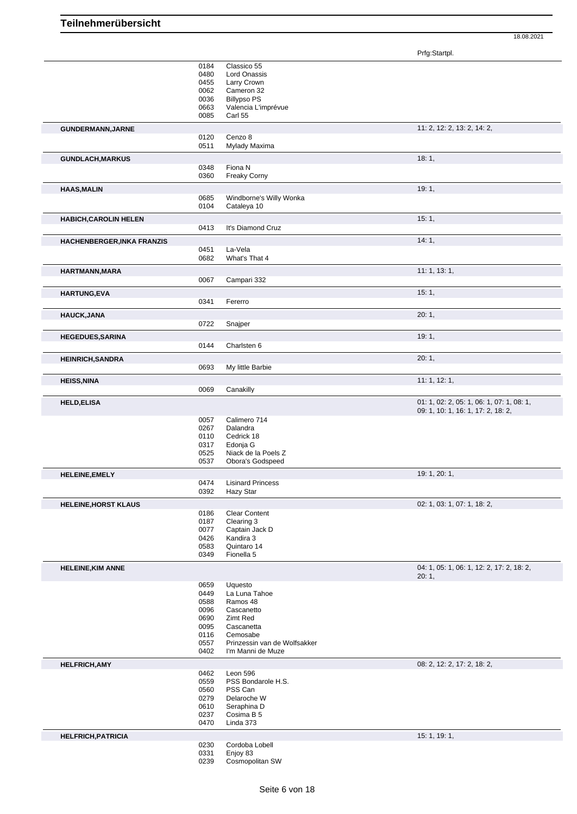|                              | 0184         | Classico 55                                       |                                           |
|------------------------------|--------------|---------------------------------------------------|-------------------------------------------|
|                              | 0480         | Lord Onassis                                      |                                           |
|                              | 0455         | Larry Crown                                       |                                           |
|                              | 0062         | Cameron 32                                        |                                           |
|                              | 0036         | <b>Billypso PS</b>                                |                                           |
|                              | 0663<br>0085 | Valencia L'imprévue<br>Carl 55                    |                                           |
|                              |              |                                                   |                                           |
| GUNDERMANN, JARNE            |              |                                                   | 11: 2, 12: 2, 13: 2, 14: 2,               |
|                              | 0120         | Cenzo 8                                           |                                           |
|                              | 0511         | Mylady Maxima                                     |                                           |
| <b>GUNDLACH, MARKUS</b>      |              |                                                   | 18:1,                                     |
|                              | 0348         | Fiona N                                           |                                           |
|                              | 0360         | <b>Freaky Corny</b>                               |                                           |
| <b>HAAS, MALIN</b>           |              |                                                   | 19:1,                                     |
|                              | 0685         | Windborne's Willy Wonka                           |                                           |
|                              | 0104         | Cataleya 10                                       |                                           |
|                              |              |                                                   |                                           |
| <b>HABICH, CAROLIN HELEN</b> |              |                                                   | 15:1,                                     |
|                              | 0413         | It's Diamond Cruz                                 |                                           |
| HACHENBERGER, INKA FRANZIS   |              |                                                   | 14:1,                                     |
|                              | 0451         | La-Vela                                           |                                           |
|                              | 0682         | What's That 4                                     |                                           |
|                              |              |                                                   | 11: 1, 13: 1,                             |
| HARTMANN, MARA               | 0067         | Campari 332                                       |                                           |
|                              |              |                                                   |                                           |
| <b>HARTUNG,EVA</b>           |              |                                                   | 15:1,                                     |
|                              | 0341         | Fererro                                           |                                           |
| <b>HAUCK, JANA</b>           |              |                                                   | 20:1,                                     |
|                              | 0722         | Snajper                                           |                                           |
|                              |              |                                                   |                                           |
| <b>HEGEDUES, SARINA</b>      |              |                                                   | 19:1,                                     |
|                              | 0144         | Charlsten 6                                       |                                           |
| <b>HEINRICH, SANDRA</b>      |              |                                                   | 20:1,                                     |
|                              | 0693         | My little Barbie                                  |                                           |
| <b>HEISS, NINA</b>           |              |                                                   | 11:1, 12:1,                               |
|                              | 0069         | Canakilly                                         |                                           |
|                              |              |                                                   |                                           |
| <b>HELD,ELISA</b>            |              |                                                   | 01: 1, 02: 2, 05: 1, 06: 1, 07: 1, 08: 1, |
|                              |              |                                                   | 09: 1, 10: 1, 16: 1, 17: 2, 18: 2,        |
|                              | 0057         | Calimero 714                                      |                                           |
|                              | 0267         | Dalandra                                          |                                           |
|                              | 0110         | Cedrick 18                                        |                                           |
|                              | 0317         | Edonja G                                          |                                           |
|                              | 0525         | Niack de la Poels Z                               |                                           |
|                              | 0537         | Obora's Godspeed                                  |                                           |
| <b>HELEINE, EMELY</b>        |              |                                                   | 19: 1, 20: 1,                             |
|                              | 0474         | <b>Lisinard Princess</b>                          |                                           |
|                              | 0392         | Hazy Star                                         |                                           |
| <b>HELEINE, HORST KLAUS</b>  |              |                                                   | 02: 1, 03: 1, 07: 1, 18: 2,               |
|                              | 0186         | <b>Clear Content</b>                              |                                           |
|                              |              |                                                   |                                           |
|                              | 0187         |                                                   |                                           |
|                              | 0077         | Clearing 3<br>Captain Jack D                      |                                           |
|                              | 0426         | Kandira 3                                         |                                           |
|                              | 0583         | Quintaro 14                                       |                                           |
|                              | 0349         | Fionella 5                                        |                                           |
|                              |              |                                                   |                                           |
|                              |              |                                                   | 04: 1, 05: 1, 06: 1, 12: 2, 17: 2, 18: 2, |
|                              |              |                                                   | 20:1,                                     |
|                              | 0659         | Uquesto                                           |                                           |
|                              | 0449         | La Luna Tahoe                                     |                                           |
|                              | 0588         | Ramos 48                                          |                                           |
|                              | 0096         | Cascanetto                                        |                                           |
|                              | 0690         | Zimt Red                                          |                                           |
|                              | 0095         | Cascanetta                                        |                                           |
|                              | 0116         | Cemosabe                                          |                                           |
| <b>HELEINE, KIM ANNE</b>     | 0557<br>0402 | Prinzessin van de Wolfsakker<br>I'm Manni de Muze |                                           |
|                              |              |                                                   |                                           |
|                              |              |                                                   | 08: 2, 12: 2, 17: 2, 18: 2,               |
|                              | 0462         | Leon 596                                          |                                           |
|                              | 0559         | PSS Bondarole H.S.                                |                                           |
|                              | 0560         | PSS Can                                           |                                           |
| <b>HELFRICH, AMY</b>         | 0279         | Delaroche W                                       |                                           |
|                              | 0610         | Seraphina D                                       |                                           |
|                              | 0237         | Cosima B 5                                        |                                           |
|                              | 0470         | Linda 373                                         |                                           |
| <b>HELFRICH, PATRICIA</b>    |              |                                                   | 15: 1, 19: 1,                             |
|                              | 0230         | Cordoba Lobell                                    |                                           |
|                              | 0331<br>0239 | Enjoy 83<br>Cosmopolitan SW                       |                                           |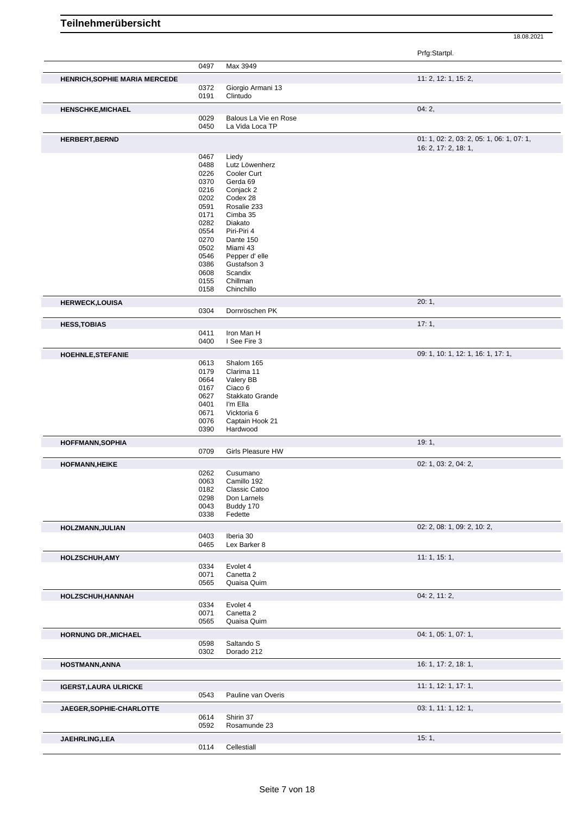|                               |              |                                          | Prfg:Startpl.                                                     |
|-------------------------------|--------------|------------------------------------------|-------------------------------------------------------------------|
|                               | 0497         | Max 3949                                 |                                                                   |
| HENRICH, SOPHIE MARIA MERCEDE |              |                                          | 11: 2, 12: 1, 15: 2,                                              |
|                               | 0372         | Giorgio Armani 13                        |                                                                   |
|                               | 0191         | Clintudo                                 |                                                                   |
| <b>HENSCHKE, MICHAEL</b>      |              |                                          | 04:2,                                                             |
|                               | 0029<br>0450 | Balous La Vie en Rose<br>La Vida Loca TP |                                                                   |
|                               |              |                                          |                                                                   |
| <b>HERBERT, BERND</b>         |              |                                          | 01: 1, 02: 2, 03: 2, 05: 1, 06: 1, 07: 1,<br>16: 2, 17: 2, 18: 1, |
|                               | 0467         | Liedy                                    |                                                                   |
|                               | 0488         | Lutz Löwenherz                           |                                                                   |
|                               | 0226<br>0370 | Cooler Curt<br>Gerda 69                  |                                                                   |
|                               | 0216         | Conjack 2                                |                                                                   |
|                               | 0202         | Codex 28                                 |                                                                   |
|                               | 0591         | Rosalie 233                              |                                                                   |
|                               | 0171         | Cimba 35                                 |                                                                   |
|                               | 0282         | Diakato                                  |                                                                   |
|                               | 0554         | Piri-Piri 4                              |                                                                   |
|                               | 0270<br>0502 | Dante 150<br>Miami 43                    |                                                                   |
|                               | 0546         | Pepper d'elle                            |                                                                   |
|                               | 0386         | Gustafson 3                              |                                                                   |
|                               | 0608         | Scandix                                  |                                                                   |
|                               | 0155         | Chillman                                 |                                                                   |
|                               | 0158         | Chinchillo                               |                                                                   |
| <b>HERWECK,LOUISA</b>         |              |                                          | 20:1,                                                             |
|                               | 0304         | Dornröschen PK                           |                                                                   |
| <b>HESS, TOBIAS</b>           | 0411         | Iron Man H                               | 17:1,                                                             |
|                               | 0400         | I See Fire 3                             |                                                                   |
| <b>HOEHNLE, STEFANIE</b>      |              |                                          | 09: 1, 10: 1, 12: 1, 16: 1, 17: 1,                                |
|                               | 0613         | Shalom 165                               |                                                                   |
|                               | 0179         | Clarima 11                               |                                                                   |
|                               | 0664         | Valery BB                                |                                                                   |
|                               | 0167         | Ciaco 6                                  |                                                                   |
|                               | 0627<br>0401 | Stakkato Grande<br>I'm Ella              |                                                                   |
|                               | 0671         | Vicktoria 6                              |                                                                   |
|                               | 0076         | Captain Hook 21                          |                                                                   |
|                               | 0390         | Hardwood                                 |                                                                   |
| <b>HOFFMANN, SOPHIA</b>       |              |                                          | 19:1,                                                             |
|                               | 0709         | <b>Girls Pleasure HW</b>                 |                                                                   |
| <b>HOFMANN, HEIKE</b>         | 0262         | Cusumano                                 | 02: 1, 03: 2, 04: 2,                                              |
|                               | 0063         | Camillo 192                              |                                                                   |
|                               | 0182         | Classic Catoo                            |                                                                   |
|                               | 0298         | Don Larnels                              |                                                                   |
|                               | 0043         | Buddy 170                                |                                                                   |
|                               | 0338         | Fedette                                  |                                                                   |
| HOLZMANN, JULIAN              |              |                                          | 02: 2, 08: 1, 09: 2, 10: 2,                                       |
|                               | 0403<br>0465 | Iberia 30<br>Lex Barker 8                |                                                                   |
| <b>HOLZSCHUH, AMY</b>         |              |                                          | 11:1, 15:1,                                                       |
|                               | 0334         | Evolet 4                                 |                                                                   |
|                               | 0071         | Canetta 2                                |                                                                   |
|                               | 0565         | Quaisa Quim                              |                                                                   |
| HOLZSCHUH, HANNAH             |              | Evolet 4                                 | 04: 2, 11: 2,                                                     |
|                               | 0334<br>0071 | Canetta 2                                |                                                                   |
|                               | 0565         | Quaisa Quim                              |                                                                   |
| <b>HORNUNG DR., MICHAEL</b>   |              |                                          | 04: 1, 05: 1, 07: 1,                                              |
|                               | 0598         | Saltando S                               |                                                                   |
|                               | 0302         | Dorado 212                               |                                                                   |
| <b>HOSTMANN, ANNA</b>         |              |                                          | 16: 1, 17: 2, 18: 1,                                              |
|                               |              |                                          | 11: 1, 12: 1, 17: 1,                                              |
| <b>IGERST, LAURA ULRICKE</b>  | 0543         | Pauline van Overis                       |                                                                   |
| JAEGER, SOPHIE-CHARLOTTE      |              |                                          | 03: 1, 11: 1, 12: 1,                                              |
|                               | 0614         | Shirin 37                                |                                                                   |
|                               | 0592         | Rosamunde 23                             |                                                                   |
| JAEHRLING, LEA                |              |                                          | 15:1,                                                             |
|                               | 0114         | Cellestiall                              |                                                                   |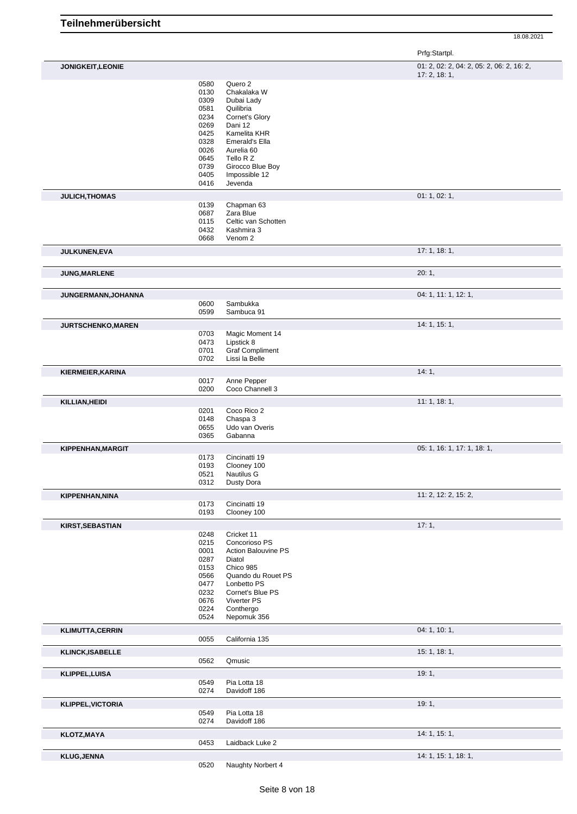|                           |              |                                             | Prfg:Startpl.                                            |
|---------------------------|--------------|---------------------------------------------|----------------------------------------------------------|
| JONIGKEIT, LEONIE         |              |                                             | 01: 2, 02: 2, 04: 2, 05: 2, 06: 2, 16: 2,<br>17:2, 18:1, |
|                           | 0580         | Quero 2                                     |                                                          |
|                           | 0130         | Chakalaka W                                 |                                                          |
|                           | 0309<br>0581 | Dubai Lady<br>Quilibria                     |                                                          |
|                           | 0234         | Cornet's Glory                              |                                                          |
|                           | 0269         | Dani 12                                     |                                                          |
|                           | 0425         | Kamelita KHR                                |                                                          |
|                           | 0328         | Emerald's Ella                              |                                                          |
|                           | 0026         | Aurelia 60                                  |                                                          |
|                           | 0645         | Tello R Z                                   |                                                          |
|                           | 0739<br>0405 | Girocco Blue Boy<br>Impossible 12           |                                                          |
|                           | 0416         | Jevenda                                     |                                                          |
| JULICH, THOMAS            |              |                                             | 01: 1, 02: 1,                                            |
|                           | 0139         | Chapman 63                                  |                                                          |
|                           | 0687<br>0115 | Zara Blue<br>Celtic van Schotten            |                                                          |
|                           | 0432         | Kashmira 3                                  |                                                          |
|                           | 0668         | Venom <sub>2</sub>                          |                                                          |
| <b>JULKUNEN,EVA</b>       |              |                                             | 17:1, 18:1,                                              |
|                           |              |                                             | 20:1,                                                    |
| JUNG, MARLENE             |              |                                             |                                                          |
| JUNGERMANN, JOHANNA       |              |                                             | 04: 1, 11: 1, 12: 1,                                     |
|                           | 0600<br>0599 | Sambukka<br>Sambuca 91                      |                                                          |
|                           |              |                                             |                                                          |
| <b>JURTSCHENKO, MAREN</b> | 0703         | Magic Moment 14                             | 14: 1, 15: 1,                                            |
|                           | 0473         | Lipstick 8                                  |                                                          |
|                           | 0701         | <b>Graf Compliment</b>                      |                                                          |
|                           | 0702         | Lissi la Belle                              |                                                          |
| KIERMEIER, KARINA         |              |                                             | 14:1,                                                    |
|                           | 0017         | Anne Pepper                                 |                                                          |
|                           | 0200         | Coco Channell 3                             |                                                          |
| KILLIAN, HEIDI            |              |                                             | 11:1, 18:1,                                              |
|                           | 0201         | Coco Rico 2                                 |                                                          |
|                           | 0148         | Chaspa 3                                    |                                                          |
|                           | 0655<br>0365 | Udo van Overis<br>Gabanna                   |                                                          |
|                           |              |                                             |                                                          |
| <b>KIPPENHAN, MARGIT</b>  | 0173         | Cincinatti 19                               | 05: 1, 16: 1, 17: 1, 18: 1,                              |
|                           | 0193         | Clooney 100                                 |                                                          |
|                           | 0521         | Nautilus G                                  |                                                          |
|                           | 0312         | Dusty Dora                                  |                                                          |
| <b>KIPPENHAN, NINA</b>    |              |                                             | 11: 2, 12: 2, 15: 2,                                     |
|                           | 0173         | Cincinatti 19                               |                                                          |
|                           | 0193         | Clooney 100                                 |                                                          |
| <b>KIRST, SEBASTIAN</b>   |              |                                             | 17:1,                                                    |
|                           | 0248         | Cricket 11                                  |                                                          |
|                           | 0215<br>0001 | Concorioso PS<br><b>Action Balouvine PS</b> |                                                          |
|                           | 0287         | Diatol                                      |                                                          |
|                           | 0153         | Chico 985                                   |                                                          |
|                           | 0566         | Quando du Rouet PS                          |                                                          |
|                           | 0477         | Lonbetto PS                                 |                                                          |
|                           | 0232         | Cornet's Blue PS                            |                                                          |
|                           | 0676         | Viverter PS                                 |                                                          |
|                           | 0224<br>0524 | Conthergo<br>Nepomuk 356                    |                                                          |
| <b>KLIMUTTA,CERRIN</b>    |              |                                             | 04: 1, 10: 1,                                            |
|                           | 0055         | California 135                              |                                                          |
| <b>KLINCK, ISABELLE</b>   |              |                                             | 15:1, 18:1,                                              |
|                           | 0562         | Qmusic                                      |                                                          |
| KLIPPEL, LUISA            |              |                                             | 19:1,                                                    |
|                           | 0549<br>0274 | Pia Lotta 18<br>Davidoff 186                |                                                          |
|                           |              |                                             |                                                          |
| <b>KLIPPEL, VICTORIA</b>  |              |                                             | 19:1,                                                    |
|                           | 0549<br>0274 | Pia Lotta 18<br>Davidoff 186                |                                                          |
| <b>KLOTZ, MAYA</b>        |              |                                             | 14: 1, 15: 1,                                            |
|                           | 0453         | Laidback Luke 2                             |                                                          |
| <b>KLUG, JENNA</b>        |              |                                             | 14: 1, 15: 1, 18: 1,                                     |

Naughty Norbert 4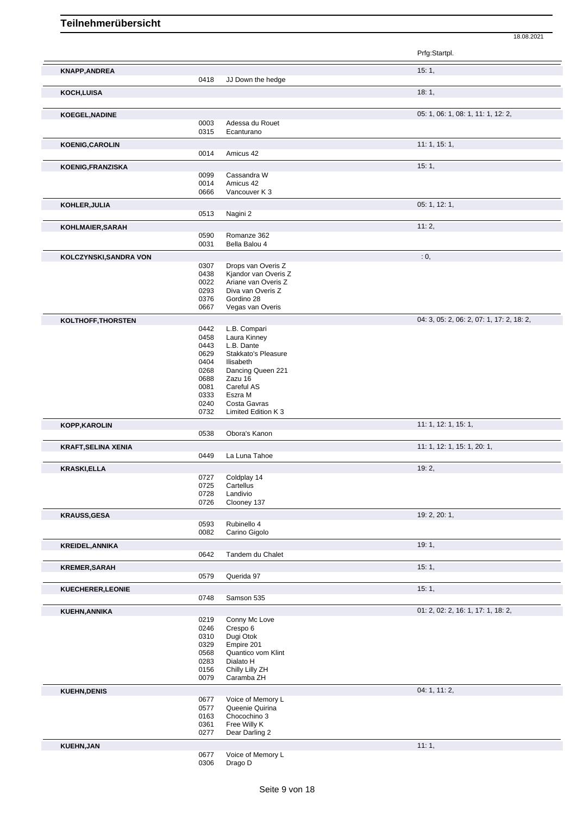|                            |              |                                          | Prfg:Startpl.                             |
|----------------------------|--------------|------------------------------------------|-------------------------------------------|
| <b>KNAPP, ANDREA</b>       |              |                                          | 15:1,                                     |
|                            | 0418         | JJ Down the hedge                        |                                           |
| KOCH, LUISA                |              |                                          | 18:1,                                     |
|                            |              |                                          |                                           |
| <b>KOEGEL, NADINE</b>      |              |                                          | 05: 1, 06: 1, 08: 1, 11: 1, 12: 2,        |
|                            | 0003         | Adessa du Rouet                          |                                           |
|                            | 0315         | Ecanturano                               |                                           |
| <b>KOENIG, CAROLIN</b>     |              |                                          | 11:1, 15:1,                               |
|                            | 0014         | Amicus 42                                |                                           |
| KOENIG, FRANZISKA          |              |                                          | 15:1,                                     |
|                            | 0099         | Cassandra W<br>Amicus 42                 |                                           |
|                            | 0014<br>0666 | Vancouver K 3                            |                                           |
| KOHLER, JULIA              |              |                                          | 05: 1, 12: 1,                             |
|                            | 0513         | Nagini 2                                 |                                           |
|                            |              |                                          | 11:2,                                     |
| KOHLMAIER, SARAH           | 0590         | Romanze 362                              |                                           |
|                            | 0031         | Bella Balou 4                            |                                           |
| KOLCZYNSKI, SANDRA VON     |              |                                          | : 0,                                      |
|                            | 0307         | Drops van Overis Z                       |                                           |
|                            | 0438         | Kjandor van Overis Z                     |                                           |
|                            | 0022<br>0293 | Ariane van Overis Z<br>Diva van Overis Z |                                           |
|                            | 0376         | Gordino 28                               |                                           |
|                            | 0667         | Vegas van Overis                         |                                           |
| KOLTHOFF, THORSTEN         |              |                                          | 04: 3, 05: 2, 06: 2, 07: 1, 17: 2, 18: 2, |
|                            | 0442         | L.B. Compari                             |                                           |
|                            | 0458         | Laura Kinney                             |                                           |
|                            | 0443         | L.B. Dante                               |                                           |
|                            | 0629<br>0404 | Stakkato's Pleasure<br>Ilisabeth         |                                           |
|                            | 0268         | Dancing Queen 221                        |                                           |
|                            | 0688         | Zazu 16                                  |                                           |
|                            | 0081         | Careful AS                               |                                           |
|                            | 0333         | Eszra M                                  |                                           |
|                            | 0240<br>0732 | Costa Gavras<br>Limited Edition K 3      |                                           |
| <b>KOPP, KAROLIN</b>       |              |                                          | 11: 1, 12: 1, 15: 1,                      |
|                            | 0538         | Obora's Kanon                            |                                           |
|                            |              |                                          | 11: 1, 12: 1, 15: 1, 20: 1,               |
| <b>KRAFT, SELINA XENIA</b> | 0449         | La Luna Tahoe                            |                                           |
|                            |              |                                          | 19:2,                                     |
| <b>KRASKI,ELLA</b>         | 0727         | Coldplay 14                              |                                           |
|                            | 0725         | Cartellus                                |                                           |
|                            | 0728         | Landivio                                 |                                           |
|                            | 0726         | Clooney 137                              |                                           |
| <b>KRAUSS, GESA</b>        |              |                                          | 19: 2, 20: 1,                             |
|                            | 0593         | Rubinello 4                              |                                           |
|                            | 0082         | Carino Gigolo                            |                                           |
| <b>KREIDEL, ANNIKA</b>     |              |                                          | 19:1,                                     |
|                            | 0642         | Tandem du Chalet                         |                                           |
| <b>KREMER, SARAH</b>       |              |                                          | 15:1,                                     |
|                            | 0579         | Querida 97                               |                                           |
| <b>KUECHERER, LEONIE</b>   |              |                                          | 15:1,                                     |
|                            | 0748         | Samson 535                               |                                           |
| KUEHN, ANNIKA              |              |                                          | 01: 2, 02: 2, 16: 1, 17: 1, 18: 2,        |
|                            | 0219         | Conny Mc Love                            |                                           |
|                            | 0246         | Crespo 6                                 |                                           |
|                            | 0310<br>0329 | Dugi Otok<br>Empire 201                  |                                           |
|                            | 0568         | Quantico vom Klint                       |                                           |
|                            | 0283         | Dialato H                                |                                           |
|                            | 0156<br>0079 | Chilly Lilly ZH                          |                                           |
|                            |              | Caramba ZH                               |                                           |
| <b>KUEHN, DENIS</b>        |              |                                          | 04: 1, 11: 2,                             |
|                            | 0677<br>0577 | Voice of Memory L<br>Queenie Quirina     |                                           |
|                            | 0163         | Chocochino 3                             |                                           |
|                            | 0361         | Free Willy K                             |                                           |
|                            | 0277         | Dear Darling 2                           |                                           |
| <b>KUEHN, JAN</b>          |              |                                          | 11:1,                                     |
|                            | 0677         | Voice of Memory L                        |                                           |
|                            | 0306         | Drago D                                  |                                           |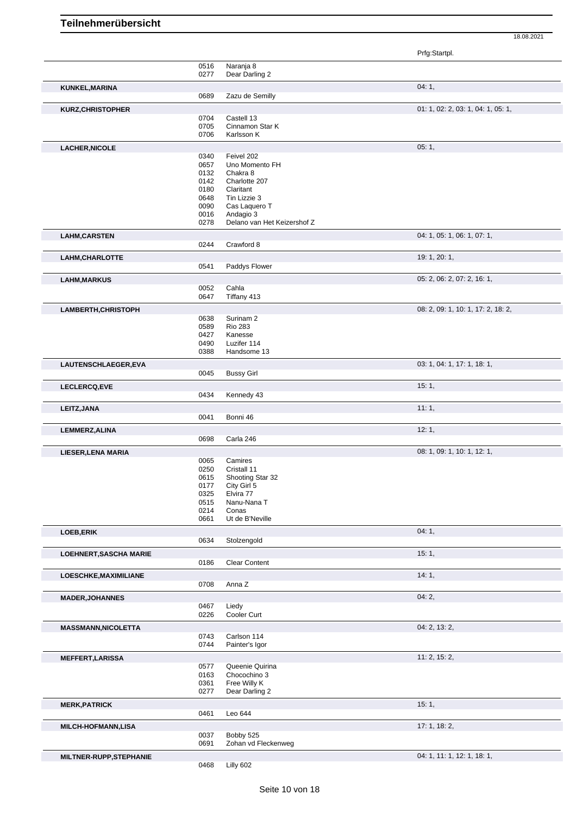|                               |              |                               | Prfg:Startpl.                      |
|-------------------------------|--------------|-------------------------------|------------------------------------|
|                               | 0516         | Naranja 8                     |                                    |
|                               | 0277         | Dear Darling 2                |                                    |
| KUNKEL, MARINA                |              |                               | 04:1,                              |
|                               | 0689         | Zazu de Semilly               |                                    |
| <b>KURZ, CHRISTOPHER</b>      |              |                               | 01: 1, 02: 2, 03: 1, 04: 1, 05: 1, |
|                               | 0704<br>0705 | Castell 13<br>Cinnamon Star K |                                    |
|                               | 0706         | Karlsson K                    |                                    |
| <b>LACHER, NICOLE</b>         |              |                               | 05:1,                              |
|                               | 0340         | Feivel 202                    |                                    |
|                               | 0657         | Uno Momento FH                |                                    |
|                               | 0132         | Chakra 8                      |                                    |
|                               | 0142<br>0180 | Charlotte 207<br>Claritant    |                                    |
|                               | 0648         | Tin Lizzie 3                  |                                    |
|                               | 0090         | Cas Laquero T                 |                                    |
|                               | 0016         | Andagio 3                     |                                    |
|                               | 0278         | Delano van Het Keizershof Z   |                                    |
| <b>LAHM, CARSTEN</b>          |              |                               | 04: 1, 05: 1, 06: 1, 07: 1,        |
|                               | 0244         | Crawford 8                    |                                    |
| LAHM, CHARLOTTE               |              |                               | 19: 1, 20: 1,                      |
|                               | 0541         | Paddys Flower                 |                                    |
| <b>LAHM,MARKUS</b>            |              |                               | 05: 2, 06: 2, 07: 2, 16: 1,        |
|                               | 0052         | Cahla                         |                                    |
|                               | 0647         | Tiffany 413                   |                                    |
| LAMBERTH, CHRISTOPH           | 0638         | Surinam <sub>2</sub>          | 08: 2, 09: 1, 10: 1, 17: 2, 18: 2, |
|                               | 0589         | <b>Rio 283</b>                |                                    |
|                               | 0427         | Kanesse                       |                                    |
|                               | 0490         | Luzifer 114                   |                                    |
|                               | 0388         | Handsome 13                   |                                    |
| LAUTENSCHLAEGER, EVA          |              |                               | 03: 1, 04: 1, 17: 1, 18: 1,        |
|                               | 0045         | <b>Bussy Girl</b>             |                                    |
| LECLERCQ, EVE                 |              |                               | 15:1,                              |
|                               | 0434         | Kennedy 43                    |                                    |
| LEITZ, JANA                   |              |                               | 11:1,                              |
|                               | 0041         | Bonni 46                      |                                    |
| LEMMERZ, ALINA                |              |                               | 12:1,                              |
|                               | 0698         | Carla 246                     |                                    |
| LIESER, LENA MARIA            |              |                               | 08: 1, 09: 1, 10: 1, 12: 1,        |
|                               | 0065<br>0250 | Camires<br>Cristall 11        |                                    |
|                               | 0615         | Shooting Star 32              |                                    |
|                               | 0177         | City Girl 5                   |                                    |
|                               | 0325         | Elvira 77                     |                                    |
|                               | 0515<br>0214 | Nanu-Nana T<br>Conas          |                                    |
|                               | 0661         | Ut de B'Neville               |                                    |
| LOEB, ERIK                    |              |                               | 04:1,                              |
|                               | 0634         | Stolzengold                   |                                    |
| <b>LOEHNERT, SASCHA MARIE</b> |              |                               | 15:1,                              |
|                               | 0186         | <b>Clear Content</b>          |                                    |
| LOESCHKE, MAXIMILIANE         |              |                               | 14:1,                              |
|                               | 0708         | Anna Z                        |                                    |
| <b>MADER, JOHANNES</b>        |              |                               | 04:2,                              |
|                               | 0467         | Liedy                         |                                    |
|                               | 0226         | Cooler Curt                   |                                    |
| <b>MASSMANN, NICOLETTA</b>    |              |                               | 04: 2, 13: 2,                      |
|                               | 0743<br>0744 | Carlson 114<br>Painter's Igor |                                    |
| <b>MEFFERT, LARISSA</b>       |              |                               | 11: 2, 15: 2,                      |
|                               | 0577         | Queenie Quirina               |                                    |
|                               | 0163         | Chocochino 3                  |                                    |
|                               | 0361         | Free Willy K                  |                                    |
|                               | 0277         | Dear Darling 2                |                                    |
| <b>MERK, PATRICK</b>          | 0461         | Leo 644                       | 15:1,                              |
|                               |              |                               |                                    |
| MILCH-HOFMANN,LISA            | 0037         | Bobby 525                     | 17: 1, 18: 2,                      |
|                               | 0691         | Zohan vd Fleckenweg           |                                    |
| MILTNER-RUPP, STEPHANIE       |              |                               | 04: 1, 11: 1, 12: 1, 18: 1,        |
|                               | 0468         | Lilly 602                     |                                    |
|                               |              |                               |                                    |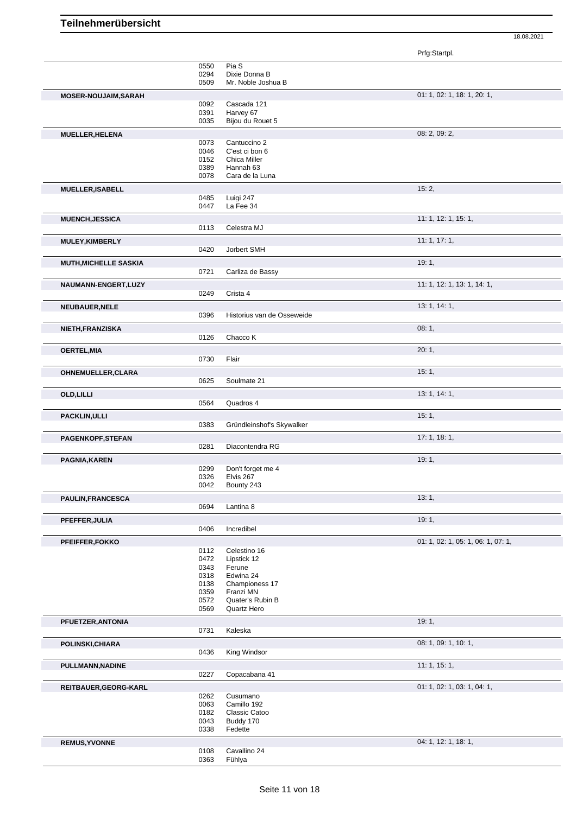|                              |              |                                     | Prfg:Startpl.                      |
|------------------------------|--------------|-------------------------------------|------------------------------------|
|                              | 0550         | Pia S                               |                                    |
|                              | 0294<br>0509 | Dixie Donna B<br>Mr. Noble Joshua B |                                    |
| <b>MOSER-NOUJAIM, SARAH</b>  |              |                                     | 01: 1, 02: 1, 18: 1, 20: 1,        |
|                              | 0092         | Cascada 121                         |                                    |
|                              | 0391         | Harvey 67                           |                                    |
|                              | 0035         | Bijou du Rouet 5                    |                                    |
| MUELLER, HELENA              |              |                                     | 08: 2, 09: 2,                      |
|                              | 0073<br>0046 | Cantuccino 2<br>C'est ci bon 6      |                                    |
|                              | 0152         | Chica Miller                        |                                    |
|                              | 0389         | Hannah 63                           |                                    |
|                              | 0078         | Cara de la Luna                     |                                    |
| <b>MUELLER, ISABELL</b>      |              |                                     | 15:2,                              |
|                              | 0485         | Luigi 247                           |                                    |
|                              | 0447         | La Fee 34                           |                                    |
| <b>MUENCH, JESSICA</b>       |              |                                     | 11: 1, 12: 1, 15: 1,               |
|                              | 0113         | Celestra MJ                         |                                    |
| <b>MULEY, KIMBERLY</b>       |              |                                     | 11:1, 17:1,                        |
|                              | 0420         | Jorbert SMH                         |                                    |
| <b>MUTH, MICHELLE SASKIA</b> |              |                                     | 19:1,                              |
|                              | 0721         | Carliza de Bassy                    |                                    |
| NAUMANN-ENGERT, LUZY         |              |                                     | 11: 1, 12: 1, 13: 1, 14: 1,        |
|                              | 0249         | Crista 4                            |                                    |
| <b>NEUBAUER, NELE</b>        |              |                                     | 13: 1, 14: 1,                      |
|                              | 0396         | Historius van de Osseweide          |                                    |
| NIETH, FRANZISKA             |              |                                     | 08:1,                              |
|                              | 0126         | Chacco K                            |                                    |
| <b>OERTEL, MIA</b>           |              |                                     | 20:1,                              |
|                              | 0730         | Flair                               |                                    |
| OHNEMUELLER, CLARA           |              |                                     | 15:1,                              |
|                              | 0625         | Soulmate 21                         |                                    |
| OLD, LILLI                   |              |                                     | 13: 1, 14: 1,                      |
|                              | 0564         | Quadros 4                           |                                    |
| <b>PACKLIN, ULLI</b>         |              |                                     | 15:1,                              |
|                              | 0383         | Gründleinshof's Skywalker           |                                    |
| PAGENKOPF, STEFAN            |              |                                     | 17:1, 18:1,                        |
|                              | 0281         | Diacontendra RG                     |                                    |
| PAGNIA, KAREN                |              |                                     | 19:1,                              |
|                              | 0299         | Don't forget me 4                   |                                    |
|                              | 0326         | Elvis 267                           |                                    |
|                              | 0042         | Bounty 243                          |                                    |
| PAULIN, FRANCESCA            |              |                                     | 13:1,                              |
|                              | 0694         | Lantina 8                           |                                    |
| PFEFFER, JULIA               |              |                                     | 19:1,                              |
|                              | 0406         | Incredibel                          |                                    |
| PFEIFFER, FOKKO              |              |                                     | 01: 1, 02: 1, 05: 1, 06: 1, 07: 1, |
|                              | 0112         | Celestino 16                        |                                    |
|                              | 0472         | Lipstick 12                         |                                    |
|                              | 0343<br>0318 | Ferune<br>Edwina 24                 |                                    |
|                              | 0138         | Championess 17                      |                                    |
|                              | 0359         | Franzi MN                           |                                    |
|                              | 0572         | Quater's Rubin B                    |                                    |
|                              | 0569         | Quartz Hero                         |                                    |
| PFUETZER, ANTONIA            |              |                                     | 19:1,                              |
|                              | 0731         | Kaleska                             |                                    |
| POLINSKI, CHIARA             |              |                                     | 08: 1, 09: 1, 10: 1,               |
|                              | 0436         | King Windsor                        |                                    |
| PULLMANN, NADINE             |              |                                     | 11: 1, 15: 1,                      |
|                              | 0227         | Copacabana 41                       |                                    |
| REITBAUER, GEORG-KARL        |              |                                     | 01: 1, 02: 1, 03: 1, 04: 1,        |
|                              | 0262         | Cusumano                            |                                    |
|                              | 0063<br>0182 | Camillo 192                         |                                    |
|                              | 0043         | Classic Catoo<br>Buddy 170          |                                    |
|                              | 0338         | Fedette                             |                                    |
| <b>REMUS, YVONNE</b>         |              |                                     | 04: 1, 12: 1, 18: 1,               |
|                              | 0108         | Cavallino 24                        |                                    |
|                              | 0363         | Fühlya                              |                                    |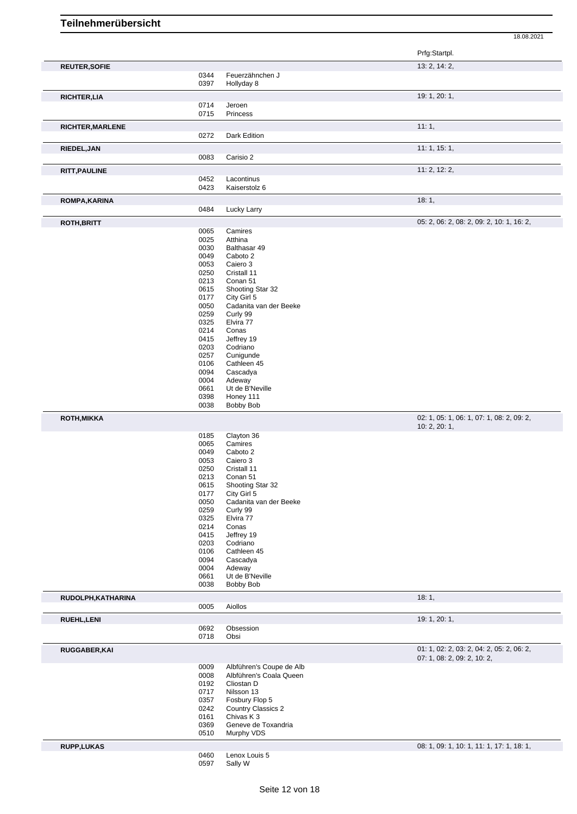|                                                                         |              |                                                     | Prfg:Startpl.                             |
|-------------------------------------------------------------------------|--------------|-----------------------------------------------------|-------------------------------------------|
| <b>REUTER, SOFIE</b>                                                    |              |                                                     | 13: 2, 14: 2,                             |
|                                                                         | 0344         | Feuerzähnchen J                                     |                                           |
|                                                                         | 0397         | Hollyday 8                                          |                                           |
| <b>RICHTER,LIA</b>                                                      |              |                                                     | 19: 1, 20: 1,                             |
|                                                                         | 0714         | Jeroen                                              |                                           |
|                                                                         | 0715         | Princess                                            |                                           |
| RICHTER, MARLENE                                                        |              |                                                     | 11:1,                                     |
|                                                                         | 0272         | Dark Edition                                        |                                           |
|                                                                         |              |                                                     | 11:1, 15:1,                               |
| RIEDEL, JAN                                                             | 0083         | Carisio 2                                           |                                           |
|                                                                         |              |                                                     |                                           |
| <b>RITT, PAULINE</b>                                                    |              |                                                     | 11: 2, 12: 2,                             |
|                                                                         | 0452         | Lacontinus                                          |                                           |
|                                                                         | 0423         | Kaiserstolz 6                                       |                                           |
| ROMPA, KARINA                                                           |              |                                                     | 18:1,                                     |
|                                                                         | 0484         | Lucky Larry                                         |                                           |
| <b>ROTH, BRITT</b>                                                      |              |                                                     | 05: 2, 06: 2, 08: 2, 09: 2, 10: 1, 16: 2, |
|                                                                         | 0065         | Camires                                             |                                           |
|                                                                         | 0025         | Atthina                                             |                                           |
|                                                                         | 0030         | Balthasar 49                                        |                                           |
|                                                                         | 0049         | Caboto 2                                            |                                           |
|                                                                         | 0053         | Caiero 3                                            |                                           |
|                                                                         | 0250         | Cristall 11                                         |                                           |
|                                                                         | 0213         | Conan 51                                            |                                           |
|                                                                         | 0615         | Shooting Star 32                                    |                                           |
|                                                                         | 0177         | City Girl 5                                         |                                           |
|                                                                         | 0050         | Cadanita van der Beeke                              |                                           |
|                                                                         | 0259         | Curly 99                                            |                                           |
|                                                                         | 0325<br>0214 | Elvira 77                                           |                                           |
|                                                                         | 0415         | Conas                                               |                                           |
|                                                                         | 0203         | Jeffrey 19<br>Codriano                              |                                           |
|                                                                         | 0257         | Cunigunde                                           |                                           |
|                                                                         | 0106         | Cathleen 45                                         |                                           |
|                                                                         | 0094         | Cascadya                                            |                                           |
|                                                                         | 0004         | Adeway                                              |                                           |
|                                                                         | 0661         | Ut de B'Neville                                     |                                           |
|                                                                         | 0398         | Honey 111                                           |                                           |
|                                                                         | 0038         | Bobby Bob                                           |                                           |
| ROTH, MIKKA                                                             |              |                                                     | 02: 1, 05: 1, 06: 1, 07: 1, 08: 2, 09: 2, |
|                                                                         |              |                                                     | 10: 2, 20: 1,                             |
|                                                                         | 0185         | Clayton 36                                          |                                           |
|                                                                         | 0065         | Camires                                             |                                           |
|                                                                         | 0049         | Caboto 2                                            |                                           |
|                                                                         | 0053         | Caiero 3                                            |                                           |
|                                                                         | 0250         | Cristall 11                                         |                                           |
|                                                                         |              | Conan 51                                            |                                           |
|                                                                         | 0213         |                                                     |                                           |
|                                                                         | 0615         | Shooting Star 32                                    |                                           |
|                                                                         | 0177         | City Girl 5                                         |                                           |
|                                                                         | 0050         | Cadanita van der Beeke                              |                                           |
|                                                                         | 0259         | Curly 99                                            |                                           |
|                                                                         | 0325         | Elvira 77                                           |                                           |
|                                                                         | 0214         | Conas                                               |                                           |
|                                                                         | 0415         | Jeffrey 19                                          |                                           |
|                                                                         | 0203<br>0106 | Codriano<br>Cathleen 45                             |                                           |
|                                                                         | 0094         | Cascadya                                            |                                           |
|                                                                         | 0004         | Adeway                                              |                                           |
|                                                                         | 0661         | Ut de B'Neville                                     |                                           |
|                                                                         | 0038         | Bobby Bob                                           |                                           |
|                                                                         |              |                                                     | 18:1,                                     |
|                                                                         | 0005         | Aiollos                                             |                                           |
|                                                                         |              |                                                     |                                           |
|                                                                         |              |                                                     | 19: 1, 20: 1,                             |
|                                                                         | 0692<br>0718 | Obsession<br>Obsi                                   |                                           |
|                                                                         |              |                                                     |                                           |
|                                                                         |              |                                                     | 01: 1, 02: 2, 03: 2, 04: 2, 05: 2, 06: 2, |
|                                                                         | 0009         |                                                     | 07: 1, 08: 2, 09: 2, 10: 2,               |
|                                                                         | 0008         | Albführen's Coupe de Alb<br>Albführen's Coala Queen |                                           |
|                                                                         | 0192         | Cliostan D                                          |                                           |
|                                                                         | 0717         | Nilsson 13                                          |                                           |
|                                                                         | 0357         | Fosbury Flop 5                                      |                                           |
|                                                                         | 0242         | <b>Country Classics 2</b>                           |                                           |
|                                                                         | 0161         | Chivas K3                                           |                                           |
|                                                                         | 0369         | Geneve de Toxandria                                 |                                           |
|                                                                         | 0510         | Murphy VDS                                          |                                           |
|                                                                         |              |                                                     | 08: 1, 09: 1, 10: 1, 11: 1, 17: 1, 18: 1, |
| RUDOLPH, KATHARINA<br>RUEHL, LENI<br>RUGGABER, KAI<br><b>RUPP,LUKAS</b> | 0460         | Lenox Louis 5                                       |                                           |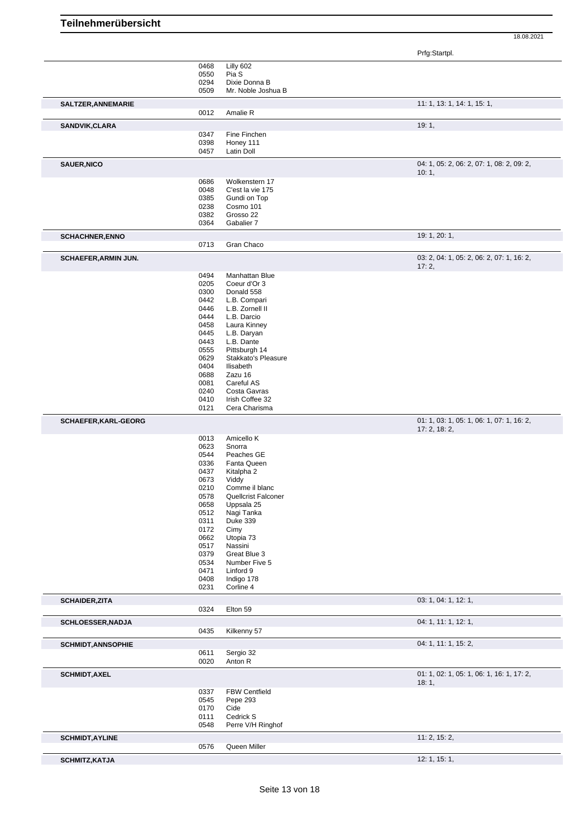Prfg:Startpl.

|                             |              |                         | Prig.Startpl.                                              |
|-----------------------------|--------------|-------------------------|------------------------------------------------------------|
|                             | 0468         | Lilly 602               |                                                            |
|                             | 0550         | Pia S                   |                                                            |
|                             | 0294         | Dixie Donna B           |                                                            |
|                             | 0509         | Mr. Noble Joshua B      |                                                            |
|                             |              |                         | 11: 1, 13: 1, 14: 1, 15: 1,                                |
| SALTZER, ANNEMARIE          | 0012         | Amalie R                |                                                            |
|                             |              |                         | 19:1,                                                      |
| SANDVIK, CLARA              | 0347         | Fine Finchen            |                                                            |
|                             | 0398         | Honey 111               |                                                            |
|                             | 0457         | Latin Doll              |                                                            |
|                             |              |                         |                                                            |
| <b>SAUER, NICO</b>          |              |                         | 04: 1, 05: 2, 06: 2, 07: 1, 08: 2, 09: 2,                  |
|                             | 0686         | Wolkenstern 17          | 10:1,                                                      |
|                             | 0048         | C'est la vie 175        |                                                            |
|                             | 0385         | Gundi on Top            |                                                            |
|                             | 0238         | Cosmo 101               |                                                            |
|                             | 0382         | Grosso 22               |                                                            |
|                             | 0364         | Gabalier 7              |                                                            |
|                             |              |                         | 19: 1, 20: 1,                                              |
| <b>SCHACHNER, ENNO</b>      | 0713         | Gran Chaco              |                                                            |
|                             |              |                         |                                                            |
| <b>SCHAEFER, ARMIN JUN.</b> |              |                         | 03: 2, 04: 1, 05: 2, 06: 2, 07: 1, 16: 2,<br>17:2,         |
|                             | 0494         | Manhattan Blue          |                                                            |
|                             | 0205         | Coeur d'Or 3            |                                                            |
|                             | 0300         | Donald 558              |                                                            |
|                             | 0442         | L.B. Compari            |                                                            |
|                             | 0446         | L.B. Zornell II         |                                                            |
|                             | 0444         | L.B. Darcio             |                                                            |
|                             | 0458         | Laura Kinney            |                                                            |
|                             | 0445         | L.B. Daryan             |                                                            |
|                             | 0443         | L.B. Dante              |                                                            |
|                             | 0555         | Pittsburgh 14           |                                                            |
|                             | 0629         | Stakkato's Pleasure     |                                                            |
|                             | 0404         | Ilisabeth               |                                                            |
|                             | 0688         | Zazu 16                 |                                                            |
|                             | 0081         | Careful AS              |                                                            |
|                             | 0240         | Costa Gavras            |                                                            |
|                             | 0410         | Irish Coffee 32         |                                                            |
|                             |              |                         |                                                            |
|                             | 0121         | Cera Charisma           |                                                            |
| SCHAEFER, KARL-GEORG        |              |                         | 01: 1, 03: 1, 05: 1, 06: 1, 07: 1, 16: 2,<br>17: 2, 18: 2, |
|                             | 0013         | Amicello K              |                                                            |
|                             | 0623         | Snorra                  |                                                            |
|                             | 0544         | Peaches GE              |                                                            |
|                             | 0336         | Fanta Queen             |                                                            |
|                             | 0437         | Kitalpha 2              |                                                            |
|                             | 0673         | Viddy                   |                                                            |
|                             | 0210         | Comme il blanc          |                                                            |
|                             | 0578         | Quellcrist Falconer     |                                                            |
|                             | 0658         | Uppsala 25              |                                                            |
|                             |              | Nagi Tanka              |                                                            |
|                             | 0512         |                         |                                                            |
|                             | 0311         | <b>Duke 339</b>         |                                                            |
|                             | 0172<br>0662 | Cimy<br>Utopia 73       |                                                            |
|                             | 0517         | Nassini                 |                                                            |
|                             |              |                         |                                                            |
|                             | 0379         | Great Blue 3            |                                                            |
|                             | 0534         | Number Five 5           |                                                            |
|                             | 0471         | Linford 9               |                                                            |
|                             | 0408<br>0231 | Indigo 178<br>Corline 4 |                                                            |
|                             |              |                         |                                                            |
| <b>SCHAIDER, ZITA</b>       | 0324         | Elton 59                | 03: 1, 04: 1, 12: 1,                                       |
|                             |              |                         | 04: 1, 11: 1, 12: 1,                                       |
| SCHLOESSER, NADJA           | 0435         | Kilkenny 57             |                                                            |
|                             |              |                         |                                                            |
| <b>SCHMIDT, ANNSOPHIE</b>   |              |                         | 04: 1, 11: 1, 15: 2,                                       |
|                             | 0611<br>0020 | Sergio 32<br>Anton R    |                                                            |
|                             |              |                         |                                                            |
| <b>SCHMIDT, AXEL</b>        |              |                         | 01: 1, 02: 1, 05: 1, 06: 1, 16: 1, 17: 2,<br>18:1,         |
|                             | 0337         | <b>FBW Centfield</b>    |                                                            |
|                             | 0545         | Pepe 293                |                                                            |
|                             | 0170         | Cide                    |                                                            |
|                             | 0111         | Cedrick S               |                                                            |
|                             | 0548         | Perre V/H Ringhof       |                                                            |
| <b>SCHMIDT, AYLINE</b>      |              |                         | 11: 2, 15: 2,                                              |
|                             | 0576         | Queen Miller            |                                                            |
|                             |              |                         |                                                            |
| <b>SCHMITZ, KATJA</b>       |              |                         | 12: 1, 15: 1,                                              |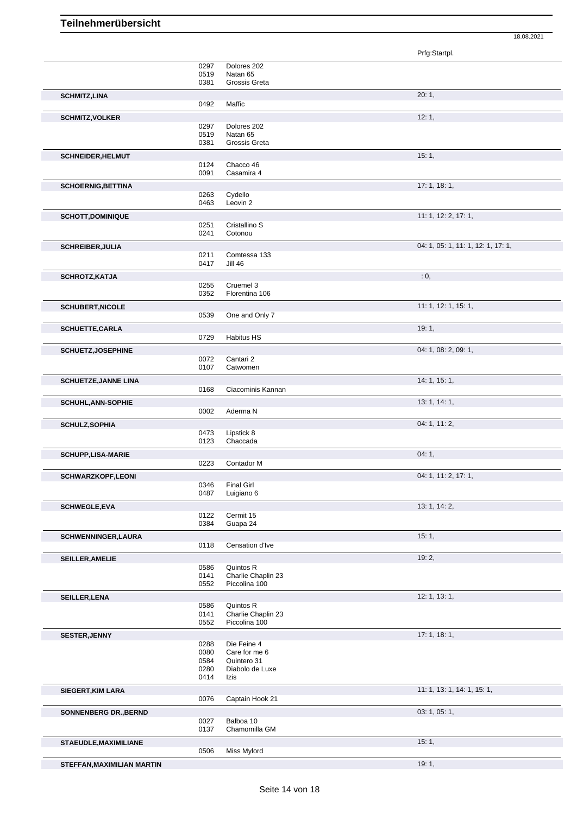Prfg:Startpl. 0297 Dolores 202<br>0519 Natan 65 0519 Natan 65<br>0381 Grossis G natan se<br>Grossis Greta **SCHMITZ,LINA** 20: 1, 0492 **SCHMITZ,VOLKER** 12: 1, 0297 Dolores 202 0519 Natan 65<br>0381 Grossis G Grossis Greta **SCHNEIDER, HELMUT** 15: 1, 20124 Chacco 46 0124 Chacco 46<br>0091 Casamira Casamira 4 **SCHOERNIG, BETTINA** 17: 1, 18: 1, 19: 1, 19: 1, 19: 1, 19: 1, 19: 1, 19: 1, 19: 1, 19: 1, 19: 1, 19: 1, 19: 1, 19: 1, 19: 1, 19: 1, 19: 1, 19: 1, 19: 1, 19: 1, 19: 1, 19: 1, 19: 1, 19: 1, 19: 1, 19: 1, 19: 1, 19: 1, 19: 1 0263 Cydello<br>0463 Leovin: Leovin 2 **SCHOTT, DOMINIQUE** 11: 1, 12: 2, 17: 1, 12: 2, 17: 1, 12: 2, 17: 1, 12: 2, 17: 1, 12: 2, 17: 1, 12: 2, 17: 1, 0251 Cristallino S<br>0241 Cotonou Cotonou **SCHREIBER, JULIA** 04: 1, 05: 1, 11: 1, 12: 1, 17: 1, 05: 1, 11: 1, 12: 1, 17: 1, 05: 1, 11: 1, 12: 1, 17: 1, 05: 1, 11: 1, 12: 1, 17: 1, Comtessa 133 0417 Jill 46 **SCHROTZ,KATJA** : 0, 0255 Cruemel 3<br>0352 Florentina Florentina 106 **SCHUBERT, NICOLE** 11: 1, 12: 1, 15: 1, 15: 1, 15: 1, 15: 1, 15: 1, 15: 1, 15: 1, 15: 1, 15: 1, 15: 1, 15: 1, 15: 1, One and Only 7 **SCHUETTE,CARLA** 19: 1, Habitus HS **SCHUETZ,JOSEPHINE** 04: 1, 08: 2, 09: 1, 0072 Cantari 2 0107 Catwomen **SCHUETZE,JANNE LINA** 14: 1, 15: 1, 0168 Ciacominis Kannan **SCHUHL,ANN-SOPHIE** 20002 Aderma N<br>
2002 Aderma N Aderma N **SCHULZ,SOPHIA** 04: 1, 11: 2, Lipstick 8 0123 Chaccada **SCHUPP,LISA-MARIE** 0223 Contador M<br>
04: 1, Contador M **SCHWARZKOPF,LEONI** 0346 Final Girl **11: 2, 17: 1, 11: 2, 17: 1, 11: 2, 17: 1**, 11: 2, 17: 1, **Final Girl** 0487 Luigiano 6 **SCHWEGLE,EVA** 13: 1, 14: 2, **13: 1, 14: 2, 13: 1, 14: 2, 13: 1, 14: 2**, **13: 1, 14: 2** 0122 Cermit 15<br>0384 Guapa 24 Guapa 24 **SCHWENNINGER,LAURA** 15: 1, Censation d'Ive **SEILLER,AMELIE** 19: 2, 0586 Quintos R<br>0141 Charlie Ch 0141 Charlie Chaplin 23<br>0552 Piccolina 100 Piccolina 100 **SEILLER,LENA** 12: 1, 13: 1, 0586 Quintos R<br>0141 Charlie Ch 0141 Charlie Chaplin 23<br>0552 Piccolina 100 Piccolina 100 **SESTER,JENNY** 17: 1, 18: 1, 0288 Die Feine 4<br>0080 Care for me Care for me 6 0584 Quintero 31 0280 Diabolo de Luxe 0414 Izis **SIEGERT,KIM LARA** 11: 1, 13: 1, 14: 1, 15: 1, 0076 Captain Hook 21 **SONNENBERG DR., BERND** 03: 1, 05: 1, 05: 1, 05: 1, 05: 1, 05: 1, 05: 1, 05: 1, 05: 1, 05: 1, 05: 1, 05: 1, 05: 1, 05: 1, 05: 1, 05: 1, 05: 1, 05: 1, 05: 1, 05: 1, 05: 1, 05: 1, 05: 1, 05: 1, 05: 1, 05: 1, 05: 1, 05: 1, 05 0027 Balboa 10<br>0137 Chamomil Chamomilla GM **STAEUDLE,MAXIMILIANE** 15: 1, 0506 Miss Mylord

18.08.2021

**STEFFAN,MAXIMILIAN MARTIN** 19: 1,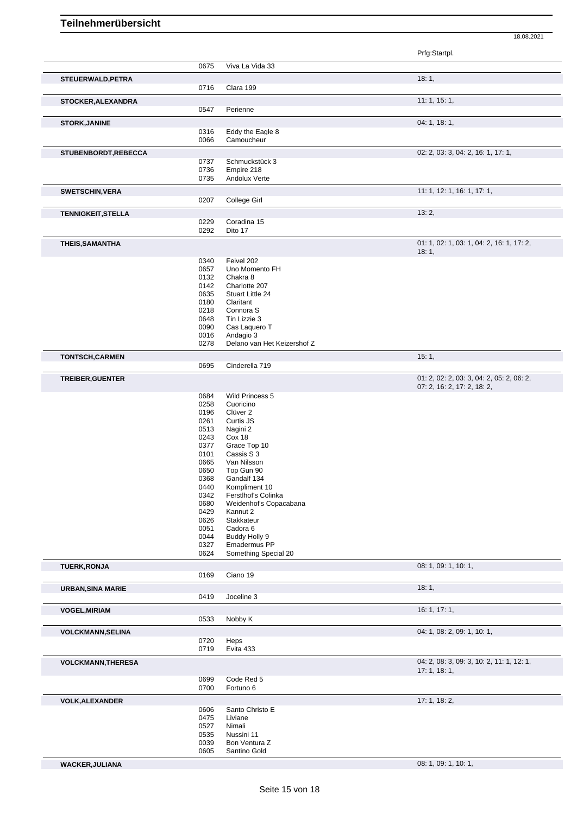18.08.2021

|                           |              |                                  | Prfg:Startpl.                             |
|---------------------------|--------------|----------------------------------|-------------------------------------------|
|                           | 0675         | Viva La Vida 33                  |                                           |
| STEUERWALD, PETRA         |              |                                  | 18:1,                                     |
|                           | 0716         | Clara 199                        |                                           |
| STOCKER, ALEXANDRA        |              |                                  | 11:1, 15:1,                               |
|                           | 0547         | Perienne                         |                                           |
| <b>STORK, JANINE</b>      |              |                                  | 04: 1, 18: 1,                             |
|                           | 0316         | Eddy the Eagle 8                 |                                           |
|                           | 0066         | Camoucheur                       |                                           |
| STUBENBORDT, REBECCA      |              |                                  | 02: 2, 03: 3, 04: 2, 16: 1, 17: 1,        |
|                           | 0737         | Schmuckstück 3                   |                                           |
|                           | 0736         | Empire 218                       |                                           |
|                           | 0735         | Andolux Verte                    |                                           |
| <b>SWETSCHIN, VERA</b>    |              |                                  | 11: 1, 12: 1, 16: 1, 17: 1,               |
|                           | 0207         | College Girl                     |                                           |
| <b>TENNIGKEIT, STELLA</b> |              |                                  | 13:2,                                     |
|                           | 0229         | Coradina 15                      |                                           |
|                           | 0292         | Dito 17                          |                                           |
| <b>THEIS, SAMANTHA</b>    |              |                                  | 01: 1, 02: 1, 03: 1, 04: 2, 16: 1, 17: 2, |
|                           |              |                                  | 18:1,                                     |
|                           | 0340         | Feivel 202                       |                                           |
|                           | 0657<br>0132 | Uno Momento FH<br>Chakra 8       |                                           |
|                           | 0142         | Charlotte 207                    |                                           |
|                           | 0635         | Stuart Little 24                 |                                           |
|                           | 0180         | Claritant                        |                                           |
|                           | 0218         | Connora <sub>S</sub>             |                                           |
|                           | 0648<br>0090 | Tin Lizzie 3<br>Cas Laquero T    |                                           |
|                           | 0016         | Andagio 3                        |                                           |
|                           | 0278         | Delano van Het Keizershof Z      |                                           |
| <b>TONTSCH,CARMEN</b>     |              |                                  | 15:1,                                     |
|                           | 0695         | Cinderella 719                   |                                           |
| TREIBER, GUENTER          |              |                                  | 01: 2, 02: 2, 03: 3, 04: 2, 05: 2, 06: 2, |
|                           |              |                                  | 07: 2, 16: 2, 17: 2, 18: 2,               |
|                           | 0684         | Wild Princess 5                  |                                           |
|                           | 0258<br>0196 | Cuoricino<br>Clüver <sub>2</sub> |                                           |
|                           | 0261         | Curtis JS                        |                                           |
|                           | 0513         | Nagini 2                         |                                           |
|                           | 0243         | Cox 18                           |                                           |
|                           | 0377         | Grace Top 10                     |                                           |
|                           | 0101         | Cassis S 3                       |                                           |
|                           | 0665<br>0650 | Van Nilsson<br>Top Gun 90        |                                           |
|                           | 0368         | Gandalf 134                      |                                           |
|                           | 0440         | Kompliment 10                    |                                           |
|                           | 0342         | Ferstlhof's Colinka              |                                           |
|                           | 0680         | Weidenhof's Copacabana           |                                           |
|                           | 0429<br>0626 | Kannut 2<br>Stakkateur           |                                           |
|                           | 0051         | Cadora <sub>6</sub>              |                                           |
|                           | 0044         | Buddy Holly 9                    |                                           |
|                           | 0327         | Emadermus PP                     |                                           |
|                           | 0624         | Something Special 20             |                                           |
| <b>TUERK, RONJA</b>       |              |                                  | 08: 1, 09: 1, 10: 1,                      |
|                           | 0169         | Ciano 19                         |                                           |
| <b>URBAN, SINA MARIE</b>  | 0419         | Joceline 3                       | 18:1,                                     |
|                           |              |                                  | 16: 1, 17: 1,                             |
| <b>VOGEL, MIRIAM</b>      | 0533         | Nobby K                          |                                           |
| <b>VOLCKMANN, SELINA</b>  |              |                                  | 04: 1, 08: 2, 09: 1, 10: 1,               |
|                           | 0720         | Heps                             |                                           |
|                           | 0719         | Evita 433                        |                                           |
| <b>VOLCKMANN, THERESA</b> |              |                                  | 04: 2, 08: 3, 09: 3, 10: 2, 11: 1, 12: 1, |
|                           |              |                                  | 17:1, 18:1,                               |
|                           | 0699<br>0700 | Code Red 5<br>Fortuno 6          |                                           |
|                           |              |                                  | 17: 1, 18: 2,                             |
| <b>VOLK, ALEXANDER</b>    | 0606         | Santo Christo E                  |                                           |
|                           | 0475         | Liviane                          |                                           |
|                           | 0527         | Nimali                           |                                           |
|                           | 0535         | Nussini 11                       |                                           |
|                           | 0039         | Bon Ventura Z                    |                                           |
|                           | 0605         | Santino Gold                     |                                           |

**WACKER,JULIANA** 08: 1, 09: 1, 10: 1,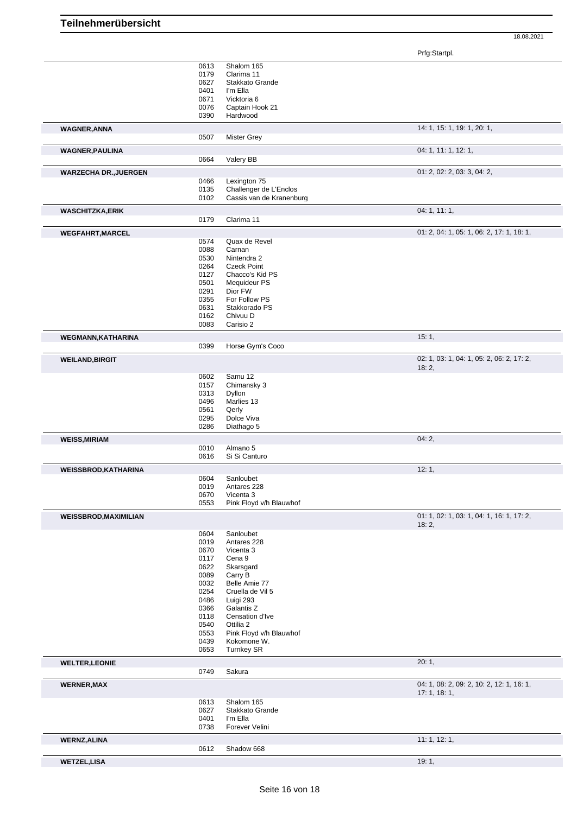|                                             | 0613         | Shalom 165                           |                                           |
|---------------------------------------------|--------------|--------------------------------------|-------------------------------------------|
|                                             | 0179         | Clarima 11                           |                                           |
|                                             | 0627         | Stakkato Grande                      |                                           |
|                                             | 0401         | I'm Ella                             |                                           |
|                                             | 0671         | Vicktoria 6                          |                                           |
|                                             | 0076         | Captain Hook 21                      |                                           |
|                                             | 0390         | Hardwood                             |                                           |
|                                             |              |                                      |                                           |
| <b>WAGNER, ANNA</b>                         |              |                                      | 14: 1, 15: 1, 19: 1, 20: 1,               |
|                                             | 0507         | <b>Mister Grey</b>                   |                                           |
| <b>WAGNER, PAULINA</b>                      |              |                                      | 04: 1, 11: 1, 12: 1,                      |
|                                             | 0664         | Valery BB                            |                                           |
|                                             |              |                                      |                                           |
| <b>WARZECHA DR., JUERGEN</b>                | 0466         | Lexington 75                         | 01: 2, 02: 2, 03: 3, 04: 2,               |
|                                             | 0135         | Challenger de L'Enclos               |                                           |
|                                             | 0102         | Cassis van de Kranenburg             |                                           |
|                                             |              |                                      |                                           |
| <b>WASCHITZKA,ERIK</b>                      |              |                                      | 04: 1, 11: 1,                             |
|                                             | 0179         | Clarima 11                           |                                           |
| <b>WEGFAHRT, MARCEL</b>                     |              |                                      | 01: 2, 04: 1, 05: 1, 06: 2, 17: 1, 18: 1, |
|                                             | 0574         | Quax de Revel                        |                                           |
|                                             | 0088         | Carnan                               |                                           |
|                                             | 0530         | Nintendra 2                          |                                           |
|                                             | 0264         | <b>Czeck Point</b>                   |                                           |
|                                             | 0127         | Chacco's Kid PS                      |                                           |
|                                             | 0501         | Mequideur PS                         |                                           |
|                                             | 0291         | Dior FW                              |                                           |
|                                             | 0355         | For Follow PS                        |                                           |
|                                             | 0631         | Stakkorado PS                        |                                           |
|                                             | 0162         | Chivuu D                             |                                           |
|                                             | 0083         | Carisio 2                            |                                           |
| <b>WEGMANN, KATHARINA</b>                   |              |                                      | 15:1,                                     |
|                                             | 0399         | Horse Gym's Coco                     |                                           |
|                                             |              |                                      |                                           |
| <b>WEILAND, BIRGIT</b>                      |              |                                      | 02: 1, 03: 1, 04: 1, 05: 2, 06: 2, 17: 2, |
|                                             | 0602         | Samu 12                              | 18:2,                                     |
|                                             | 0157         | Chimansky 3                          |                                           |
|                                             |              |                                      |                                           |
|                                             | 0313         | Dyllon                               |                                           |
|                                             | 0496         | Marlies 13                           |                                           |
|                                             | 0561         | Qerly                                |                                           |
|                                             | 0295         | Dolce Viva                           |                                           |
|                                             | 0286         | Diathago 5                           |                                           |
| <b>WEISS, MIRIAM</b>                        |              |                                      | 04:2,                                     |
|                                             | 0010         | Almano 5                             |                                           |
|                                             | 0616         | Si Si Canturo                        |                                           |
| <b>WEISSBROD, KATHARINA</b>                 |              |                                      | 12:1,                                     |
|                                             |              |                                      |                                           |
|                                             |              | Sanloubet                            |                                           |
|                                             | 0604         |                                      |                                           |
|                                             | 0019         | Antares 228                          |                                           |
|                                             | 0670<br>0553 | Vicenta 3<br>Pink Floyd v/h Blauwhof |                                           |
|                                             |              |                                      |                                           |
|                                             |              |                                      | 01: 1, 02: 1, 03: 1, 04: 1, 16: 1, 17: 2, |
|                                             |              |                                      | 18:2,                                     |
|                                             | 0604         | Sanloubet                            |                                           |
|                                             | 0019         | Antares 228                          |                                           |
|                                             | 0670         | Vicenta 3                            |                                           |
|                                             | 0117         | Cena <sub>9</sub>                    |                                           |
|                                             | 0622         | Skarsgard                            |                                           |
|                                             | 0089         | Carry B                              |                                           |
|                                             | 0032         | Belle Amie 77                        |                                           |
|                                             | 0254         | Cruella de Vil 5                     |                                           |
|                                             | 0486         | Luigi 293                            |                                           |
|                                             | 0366         | Galantis Z                           |                                           |
|                                             | 0118         | Censation d'Ive                      |                                           |
|                                             | 0540         | Ottilia 2                            |                                           |
|                                             | 0553         | Pink Floyd v/h Blauwhof              |                                           |
|                                             | 0439         | Kokomone W.                          |                                           |
|                                             | 0653         | <b>Turnkey SR</b>                    |                                           |
| <b>WEISSBROD, MAXIMILIAN</b>                |              |                                      | 20:1,                                     |
|                                             | 0749         | Sakura                               |                                           |
|                                             |              |                                      |                                           |
|                                             |              |                                      | 04: 1, 08: 2, 09: 2, 10: 2, 12: 1, 16: 1, |
|                                             |              | Shalom 165                           | 17:1, 18:1,                               |
|                                             | 0613         |                                      |                                           |
|                                             | 0627         | Stakkato Grande<br>I'm Ella          |                                           |
|                                             | 0401<br>0738 | Forever Velini                       |                                           |
| <b>WELTER, LEONIE</b><br><b>WERNER, MAX</b> |              |                                      |                                           |
| <b>WERNZ, ALINA</b>                         |              |                                      | 11: 1, 12: 1,                             |
|                                             | 0612         | Shadow 668                           |                                           |
| <b>WETZEL, LISA</b>                         |              |                                      | 19:1,                                     |